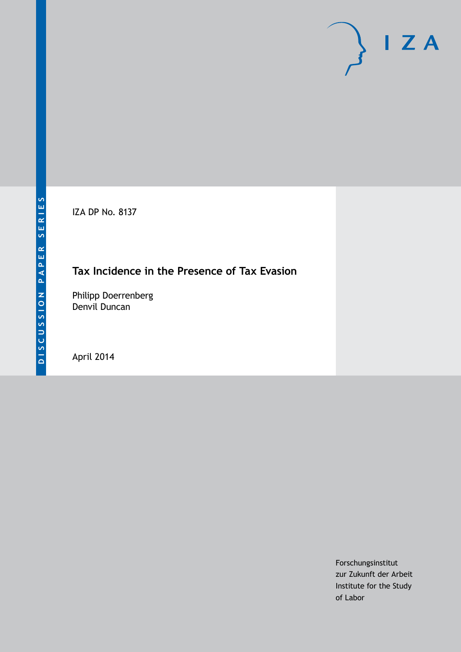IZA DP No. 8137

# **Tax Incidence in the Presence of Tax Evasion**

Philipp Doerrenberg Denvil Duncan

April 2014

Forschungsinstitut zur Zukunft der Arbeit Institute for the Study of Labor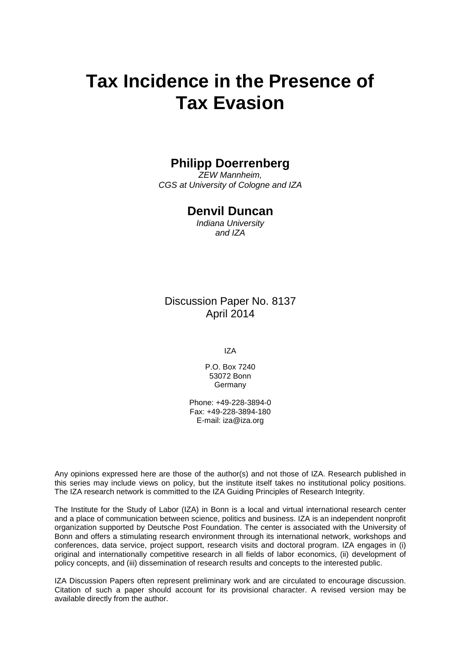# **Tax Incidence in the Presence of Tax Evasion**

## **Philipp Doerrenberg**

*ZEW Mannheim, CGS at University of Cologne and IZA*

## **Denvil Duncan**

*Indiana University and IZA*

Discussion Paper No. 8137 April 2014

IZA

P.O. Box 7240 53072 Bonn **Germany** 

Phone: +49-228-3894-0 Fax: +49-228-3894-180 E-mail: [iza@iza.org](mailto:iza@iza.org)

Any opinions expressed here are those of the author(s) and not those of IZA. Research published in this series may include views on policy, but the institute itself takes no institutional policy positions. The IZA research network is committed to the IZA Guiding Principles of Research Integrity.

The Institute for the Study of Labor (IZA) in Bonn is a local and virtual international research center and a place of communication between science, politics and business. IZA is an independent nonprofit organization supported by Deutsche Post Foundation. The center is associated with the University of Bonn and offers a stimulating research environment through its international network, workshops and conferences, data service, project support, research visits and doctoral program. IZA engages in (i) original and internationally competitive research in all fields of labor economics, (ii) development of policy concepts, and (iii) dissemination of research results and concepts to the interested public.

<span id="page-1-0"></span>IZA Discussion Papers often represent preliminary work and are circulated to encourage discussion. Citation of such a paper should account for its provisional character. A revised version may be available directly from the author.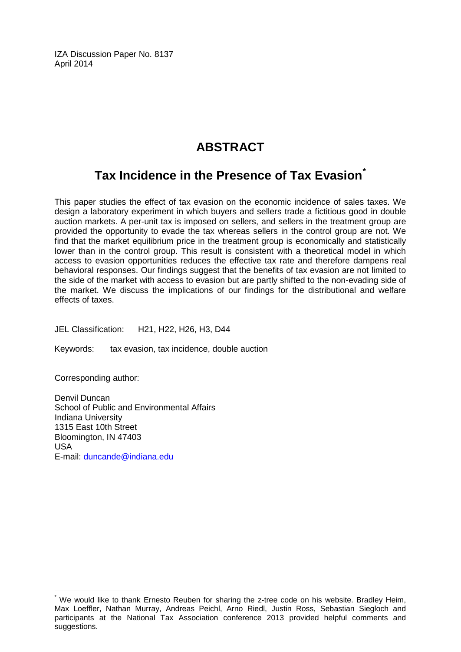IZA Discussion Paper No. 8137 April 2014

# **ABSTRACT**

# **Tax Incidence in the Presence of Tax Evasion[\\*](#page-1-0)**

This paper studies the effect of tax evasion on the economic incidence of sales taxes. We design a laboratory experiment in which buyers and sellers trade a fictitious good in double auction markets. A per-unit tax is imposed on sellers, and sellers in the treatment group are provided the opportunity to evade the tax whereas sellers in the control group are not. We find that the market equilibrium price in the treatment group is economically and statistically lower than in the control group. This result is consistent with a theoretical model in which access to evasion opportunities reduces the effective tax rate and therefore dampens real behavioral responses. Our findings suggest that the benefits of tax evasion are not limited to the side of the market with access to evasion but are partly shifted to the non-evading side of the market. We discuss the implications of our findings for the distributional and welfare effects of taxes.

JEL Classification: H21, H22, H26, H3, D44

Keywords: tax evasion, tax incidence, double auction

Corresponding author:

Denvil Duncan School of Public and Environmental Affairs Indiana University 1315 East 10th Street Bloomington, IN 47403 USA E-mail: [duncande@indiana.edu](mailto:duncande@indiana.edu)

We would like to thank Ernesto Reuben for sharing the z-tree code on his website. Bradley Heim, Max Loeffler, Nathan Murray, Andreas Peichl, Arno Riedl, Justin Ross, Sebastian Siegloch and participants at the National Tax Association conference 2013 provided helpful comments and suggestions.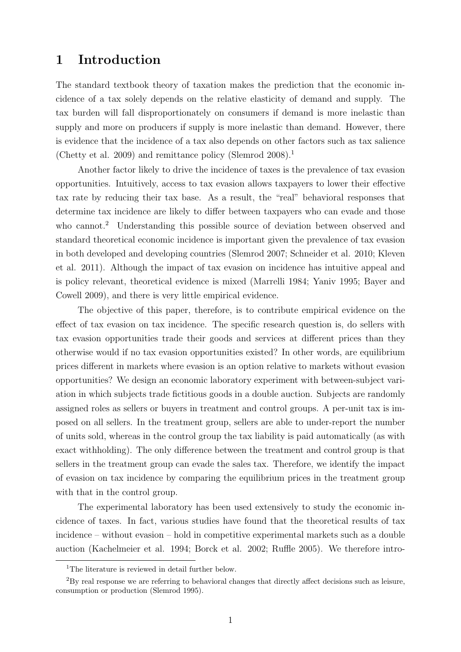# 1 Introduction

The standard textbook theory of taxation makes the prediction that the economic incidence of a tax solely depends on the relative elasticity of demand and supply. The tax burden will fall disproportionately on consumers if demand is more inelastic than supply and more on producers if supply is more inelastic than demand. However, there is evidence that the incidence of a tax also depends on other factors such as tax salience [\(Chetty et al. 2009\)](#page-27-0) and remittance policy [\(Slemrod 2008\)](#page-30-0).<sup>[1](#page-3-0)</sup>

Another factor likely to drive the incidence of taxes is the prevalence of tax evasion opportunities. Intuitively, access to tax evasion allows taxpayers to lower their effective tax rate by reducing their tax base. As a result, the "real" behavioral responses that determine tax incidence are likely to differ between taxpayers who can evade and those who cannot.<sup>[2](#page-3-1)</sup> Understanding this possible source of deviation between observed and standard theoretical economic incidence is important given the prevalence of tax evasion in both developed and developing countries [\(Slemrod 2007;](#page-30-1) [Schneider et al. 2010;](#page-30-2) [Kleven](#page-29-0) [et al. 2011\)](#page-29-0). Although the impact of tax evasion on incidence has intuitive appeal and is policy relevant, theoretical evidence is mixed [\(Marrelli 1984;](#page-29-1) [Yaniv 1995;](#page-30-3) [Bayer and](#page-27-1) [Cowell 2009\)](#page-27-1), and there is very little empirical evidence.

The objective of this paper, therefore, is to contribute empirical evidence on the effect of tax evasion on tax incidence. The specific research question is, do sellers with tax evasion opportunities trade their goods and services at different prices than they otherwise would if no tax evasion opportunities existed? In other words, are equilibrium prices different in markets where evasion is an option relative to markets without evasion opportunities? We design an economic laboratory experiment with between-subject variation in which subjects trade fictitious goods in a double auction. Subjects are randomly assigned roles as sellers or buyers in treatment and control groups. A per-unit tax is imposed on all sellers. In the treatment group, sellers are able to under-report the number of units sold, whereas in the control group the tax liability is paid automatically (as with exact withholding). The only difference between the treatment and control group is that sellers in the treatment group can evade the sales tax. Therefore, we identify the impact of evasion on tax incidence by comparing the equilibrium prices in the treatment group with that in the control group.

The experimental laboratory has been used extensively to study the economic incidence of taxes. In fact, various studies have found that the theoretical results of tax incidence – without evasion – hold in competitive experimental markets such as a double auction [\(Kachelmeier et al. 1994;](#page-29-2) [Borck et al. 2002;](#page-27-2) [Ruffle 2005\)](#page-30-4). We therefore intro-

<span id="page-3-1"></span><span id="page-3-0"></span><sup>&</sup>lt;sup>1</sup>The literature is reviewed in detail further below.

<sup>2</sup>By real response we are referring to behavioral changes that directly affect decisions such as leisure, consumption or production [\(Slemrod 1995\)](#page-30-5).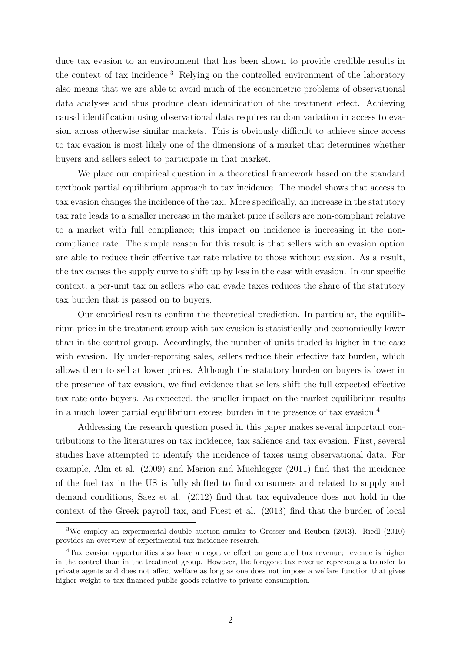duce tax evasion to an environment that has been shown to provide credible results in the context of tax incidence.[3](#page-4-0) Relying on the controlled environment of the laboratory also means that we are able to avoid much of the econometric problems of observational data analyses and thus produce clean identification of the treatment effect. Achieving causal identification using observational data requires random variation in access to evasion across otherwise similar markets. This is obviously difficult to achieve since access to tax evasion is most likely one of the dimensions of a market that determines whether buyers and sellers select to participate in that market.

We place our empirical question in a theoretical framework based on the standard textbook partial equilibrium approach to tax incidence. The model shows that access to tax evasion changes the incidence of the tax. More specifically, an increase in the statutory tax rate leads to a smaller increase in the market price if sellers are non-compliant relative to a market with full compliance; this impact on incidence is increasing in the noncompliance rate. The simple reason for this result is that sellers with an evasion option are able to reduce their effective tax rate relative to those without evasion. As a result, the tax causes the supply curve to shift up by less in the case with evasion. In our specific context, a per-unit tax on sellers who can evade taxes reduces the share of the statutory tax burden that is passed on to buyers.

Our empirical results confirm the theoretical prediction. In particular, the equilibrium price in the treatment group with tax evasion is statistically and economically lower than in the control group. Accordingly, the number of units traded is higher in the case with evasion. By under-reporting sales, sellers reduce their effective tax burden, which allows them to sell at lower prices. Although the statutory burden on buyers is lower in the presence of tax evasion, we find evidence that sellers shift the full expected effective tax rate onto buyers. As expected, the smaller impact on the market equilibrium results in a much lower partial equilibrium excess burden in the presence of tax evasion.[4](#page-4-1)

Addressing the research question posed in this paper makes several important contributions to the literatures on tax incidence, tax salience and tax evasion. First, several studies have attempted to identify the incidence of taxes using observational data. For example, [Alm et al. \(2009\)](#page-26-0) and [Marion and Muehlegger \(2011\)](#page-29-3) find that the incidence of the fuel tax in the US is fully shifted to final consumers and related to supply and demand conditions, [Saez et al. \(2012\)](#page-30-6) find that tax equivalence does not hold in the context of the Greek payroll tax, and [Fuest et al. \(2013\)](#page-28-0) find that the burden of local

<span id="page-4-0"></span><sup>3</sup>We employ an experimental double auction similar to [Grosser and Reuben \(2013\).](#page-28-1) [Riedl \(2010\)](#page-29-4) provides an overview of experimental tax incidence research.

<span id="page-4-1"></span><sup>4</sup>Tax evasion opportunities also have a negative effect on generated tax revenue; revenue is higher in the control than in the treatment group. However, the foregone tax revenue represents a transfer to private agents and does not affect welfare as long as one does not impose a welfare function that gives higher weight to tax financed public goods relative to private consumption.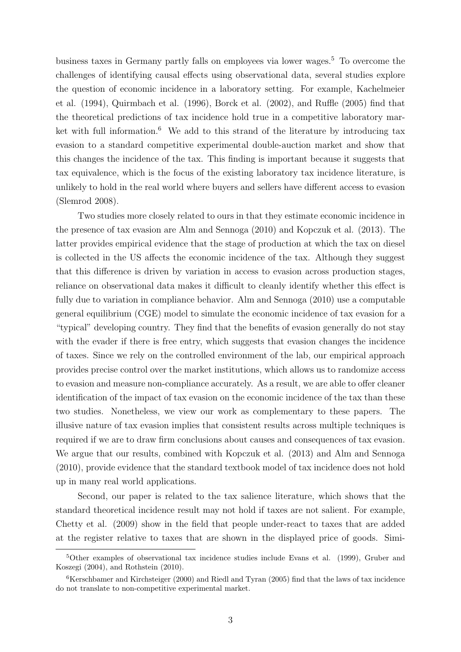business taxes in Germany partly falls on employees via lower wages.[5](#page-5-0) To overcome the challenges of identifying causal effects using observational data, several studies explore the question of economic incidence in a laboratory setting. For example, [Kachelmeier](#page-29-2) [et al. \(1994\),](#page-29-2) [Quirmbach et al. \(1996\),](#page-29-5) [Borck et al. \(2002\),](#page-27-2) and [Ruffle \(2005\)](#page-30-4) find that the theoretical predictions of tax incidence hold true in a competitive laboratory mar-ket with full information.<sup>[6](#page-5-1)</sup> We add to this strand of the literature by introducing tax evasion to a standard competitive experimental double-auction market and show that this changes the incidence of the tax. This finding is important because it suggests that tax equivalence, which is the focus of the existing laboratory tax incidence literature, is unlikely to hold in the real world where buyers and sellers have different access to evasion [\(Slemrod 2008\)](#page-30-0).

Two studies more closely related to ours in that they estimate economic incidence in the presence of tax evasion are [Alm and Sennoga \(2010\)](#page-26-1) and [Kopczuk et al. \(2013\).](#page-29-6) The latter provides empirical evidence that the stage of production at which the tax on diesel is collected in the US affects the economic incidence of the tax. Although they suggest that this difference is driven by variation in access to evasion across production stages, reliance on observational data makes it difficult to cleanly identify whether this effect is fully due to variation in compliance behavior. [Alm and Sennoga \(2010\)](#page-26-1) use a computable general equilibrium (CGE) model to simulate the economic incidence of tax evasion for a "typical" developing country. They find that the benefits of evasion generally do not stay with the evader if there is free entry, which suggests that evasion changes the incidence of taxes. Since we rely on the controlled environment of the lab, our empirical approach provides precise control over the market institutions, which allows us to randomize access to evasion and measure non-compliance accurately. As a result, we are able to offer cleaner identification of the impact of tax evasion on the economic incidence of the tax than these two studies. Nonetheless, we view our work as complementary to these papers. The illusive nature of tax evasion implies that consistent results across multiple techniques is required if we are to draw firm conclusions about causes and consequences of tax evasion. We argue that our results, combined with [Kopczuk et al. \(2013\)](#page-29-6) and [Alm and Sennoga](#page-26-1) [\(2010\),](#page-26-1) provide evidence that the standard textbook model of tax incidence does not hold up in many real world applications.

Second, our paper is related to the tax salience literature, which shows that the standard theoretical incidence result may not hold if taxes are not salient. For example, [Chetty et al. \(2009\)](#page-27-0) show in the field that people under-react to taxes that are added at the register relative to taxes that are shown in the displayed price of goods. Simi-

<span id="page-5-0"></span><sup>5</sup>Other examples of observational tax incidence studies include [Evans et al. \(1999\),](#page-28-2) [Gruber and](#page-28-3) [Koszegi \(2004\),](#page-28-3) and [Rothstein \(2010\).](#page-30-7)

<span id="page-5-1"></span> $6$ [Kerschbamer and Kirchsteiger \(2000\)](#page-29-7) and [Riedl and Tyran \(2005\)](#page-30-8) find that the laws of tax incidence do not translate to non-competitive experimental market.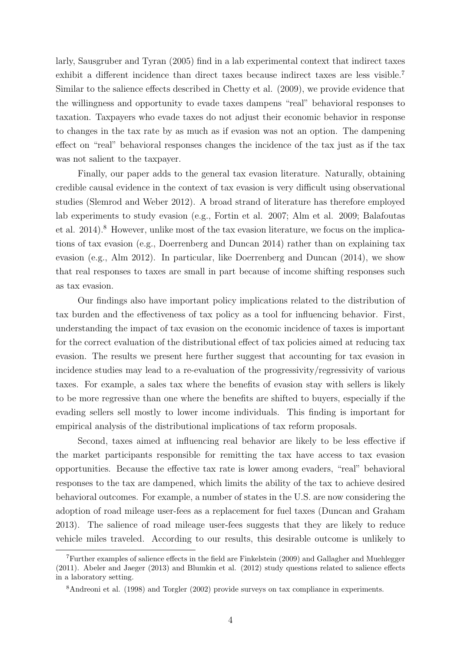larly, [Sausgruber and Tyran \(2005\)](#page-30-9) find in a lab experimental context that indirect taxes exhibit a different incidence than direct taxes because indirect taxes are less visible.[7](#page-6-0) Similar to the salience effects described in [Chetty et al. \(2009\),](#page-27-0) we provide evidence that the willingness and opportunity to evade taxes dampens "real" behavioral responses to taxation. Taxpayers who evade taxes do not adjust their economic behavior in response to changes in the tax rate by as much as if evasion was not an option. The dampening effect on "real" behavioral responses changes the incidence of the tax just as if the tax was not salient to the taxpayer.

Finally, our paper adds to the general tax evasion literature. Naturally, obtaining credible causal evidence in the context of tax evasion is very difficult using observational studies [\(Slemrod and Weber 2012\)](#page-30-10). A broad strand of literature has therefore employed lab experiments to study evasion (e.g., [Fortin et al. 2007;](#page-28-4) [Alm et al. 2009;](#page-26-2) [Balafoutas](#page-27-3) [et al. 2014\)](#page-27-3).<sup>[8](#page-6-1)</sup> However, unlike most of the tax evasion literature, we focus on the implications of tax evasion (e.g., [Doerrenberg and Duncan 2014\)](#page-27-4) rather than on explaining tax evasion (e.g., [Alm 2012\)](#page-26-3). In particular, like [Doerrenberg and Duncan \(2014\),](#page-27-4) we show that real responses to taxes are small in part because of income shifting responses such as tax evasion.

Our findings also have important policy implications related to the distribution of tax burden and the effectiveness of tax policy as a tool for influencing behavior. First, understanding the impact of tax evasion on the economic incidence of taxes is important for the correct evaluation of the distributional effect of tax policies aimed at reducing tax evasion. The results we present here further suggest that accounting for tax evasion in incidence studies may lead to a re-evaluation of the progressivity/regressivity of various taxes. For example, a sales tax where the benefits of evasion stay with sellers is likely to be more regressive than one where the benefits are shifted to buyers, especially if the evading sellers sell mostly to lower income individuals. This finding is important for empirical analysis of the distributional implications of tax reform proposals.

Second, taxes aimed at influencing real behavior are likely to be less effective if the market participants responsible for remitting the tax have access to tax evasion opportunities. Because the effective tax rate is lower among evaders, "real" behavioral responses to the tax are dampened, which limits the ability of the tax to achieve desired behavioral outcomes. For example, a number of states in the U.S. are now considering the adoption of road mileage user-fees as a replacement for fuel taxes [\(Duncan and Graham](#page-28-5) [2013\)](#page-28-5). The salience of road mileage user-fees suggests that they are likely to reduce vehicle miles traveled. According to our results, this desirable outcome is unlikely to

<span id="page-6-0"></span><sup>7</sup>Further examples of salience effects in the field are [Finkelstein \(2009\)](#page-28-6) and [Gallagher and Muehlegger](#page-28-7) [\(2011\).](#page-28-7) [Abeler and Jaeger \(2013\)](#page-26-4) and [Blumkin et al. \(2012\)](#page-27-5) study questions related to salience effects in a laboratory setting.

<span id="page-6-1"></span><sup>8</sup>[Andreoni et al. \(1998\)](#page-27-6) and [Torgler \(2002\)](#page-30-11) provide surveys on tax compliance in experiments.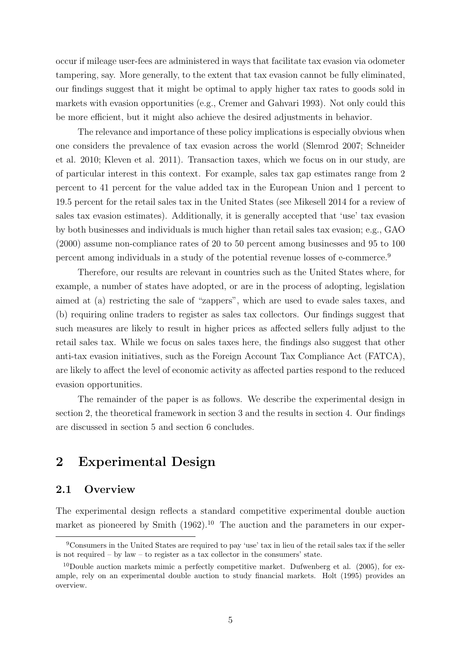occur if mileage user-fees are administered in ways that facilitate tax evasion via odometer tampering, say. More generally, to the extent that tax evasion cannot be fully eliminated, our findings suggest that it might be optimal to apply higher tax rates to goods sold in markets with evasion opportunities (e.g., [Cremer and Gahvari 1993\)](#page-27-7). Not only could this be more efficient, but it might also achieve the desired adjustments in behavior.

The relevance and importance of these policy implications is especially obvious when one considers the prevalence of tax evasion across the world [\(Slemrod 2007;](#page-30-1) [Schneider](#page-30-2) [et al. 2010;](#page-30-2) [Kleven et al. 2011\)](#page-29-0). Transaction taxes, which we focus on in our study, are of particular interest in this context. For example, sales tax gap estimates range from 2 percent to 41 percent for the value added tax in the European Union and 1 percent to 19.5 percent for the retail sales tax in the United States (see [Mikesell 2014](#page-29-8) for a review of sales tax evasion estimates). Additionally, it is generally accepted that 'use' tax evasion by both businesses and individuals is much higher than retail sales tax evasion; e.g., [GAO](#page-28-8) [\(2000\)](#page-28-8) assume non-compliance rates of 20 to 50 percent among businesses and 95 to 100 percent among individuals in a study of the potential revenue losses of e-commerce.[9](#page-7-0)

Therefore, our results are relevant in countries such as the United States where, for example, a number of states have adopted, or are in the process of adopting, legislation aimed at (a) restricting the sale of "zappers", which are used to evade sales taxes, and (b) requiring online traders to register as sales tax collectors. Our findings suggest that such measures are likely to result in higher prices as affected sellers fully adjust to the retail sales tax. While we focus on sales taxes here, the findings also suggest that other anti-tax evasion initiatives, such as the Foreign Account Tax Compliance Act (FATCA), are likely to affect the level of economic activity as affected parties respond to the reduced evasion opportunities.

The remainder of the paper is as follows. We describe the experimental design in section [2,](#page-7-1) the theoretical framework in section [3](#page-12-0) and the results in section [4.](#page-16-0) Our findings are discussed in section [5](#page-21-0) and section [6](#page-25-0) concludes.

# <span id="page-7-1"></span>2 Experimental Design

## 2.1 Overview

The experimental design reflects a standard competitive experimental double auction market as pioneered by Smith  $(1962)$ .<sup>[10](#page-7-2)</sup> The auction and the parameters in our exper-

<span id="page-7-0"></span><sup>9</sup>Consumers in the United States are required to pay 'use' tax in lieu of the retail sales tax if the seller is not required – by law – to register as a tax collector in the consumers' state.

<span id="page-7-2"></span><sup>&</sup>lt;sup>10</sup>Double auction markets mimic a perfectly competitive market. [Dufwenberg et al. \(2005\),](#page-27-8) for example, rely on an experimental double auction to study financial markets. [Holt \(1995\)](#page-29-9) provides an overview.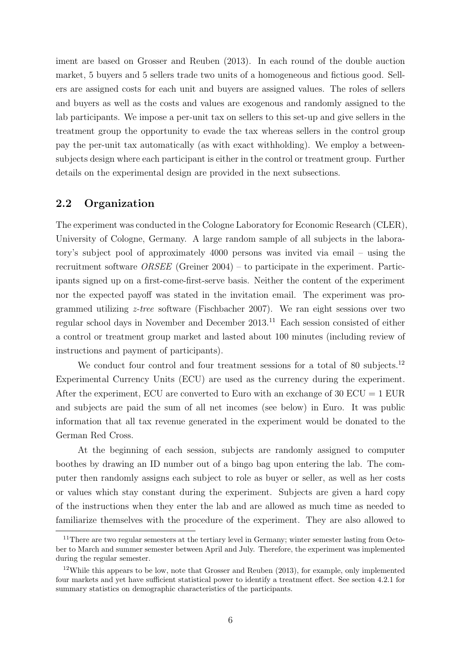iment are based on [Grosser and Reuben \(2013\).](#page-28-1) In each round of the double auction market, 5 buyers and 5 sellers trade two units of a homogeneous and fictious good. Sellers are assigned costs for each unit and buyers are assigned values. The roles of sellers and buyers as well as the costs and values are exogenous and randomly assigned to the lab participants. We impose a per-unit tax on sellers to this set-up and give sellers in the treatment group the opportunity to evade the tax whereas sellers in the control group pay the per-unit tax automatically (as with exact withholding). We employ a betweensubjects design where each participant is either in the control or treatment group. Further details on the experimental design are provided in the next subsections.

## 2.2 Organization

The experiment was conducted in the Cologne Laboratory for Economic Research (CLER), University of Cologne, Germany. A large random sample of all subjects in the laboratory's subject pool of approximately 4000 persons was invited via email – using the recruitment software ORSEE [\(Greiner 2004\)](#page-28-9) – to participate in the experiment. Participants signed up on a first-come-first-serve basis. Neither the content of the experiment nor the expected payoff was stated in the invitation email. The experiment was programmed utilizing z-tree software [\(Fischbacher 2007\)](#page-28-10). We ran eight sessions over two regular school days in November and December 2013.[11](#page-8-0) Each session consisted of either a control or treatment group market and lasted about 100 minutes (including review of instructions and payment of participants).

We conduct four control and four treatment sessions for a total of 80 subjects.<sup>[12](#page-8-1)</sup> Experimental Currency Units (ECU) are used as the currency during the experiment. After the experiment, ECU are converted to Euro with an exchange of  $30$  ECU = 1 EUR and subjects are paid the sum of all net incomes (see below) in Euro. It was public information that all tax revenue generated in the experiment would be donated to the German Red Cross.

At the beginning of each session, subjects are randomly assigned to computer boothes by drawing an ID number out of a bingo bag upon entering the lab. The computer then randomly assigns each subject to role as buyer or seller, as well as her costs or values which stay constant during the experiment. Subjects are given a hard copy of the instructions when they enter the lab and are allowed as much time as needed to familiarize themselves with the procedure of the experiment. They are also allowed to

<span id="page-8-0"></span><sup>&</sup>lt;sup>11</sup>There are two regular semesters at the tertiary level in Germany; winter semester lasting from October to March and summer semester between April and July. Therefore, the experiment was implemented during the regular semester.

<span id="page-8-1"></span> $12$ While this appears to be low, note that [Grosser and Reuben \(2013\),](#page-28-1) for example, only implemented four markets and yet have sufficient statistical power to identify a treatment effect. See section [4.2.1](#page-18-0) for summary statistics on demographic characteristics of the participants.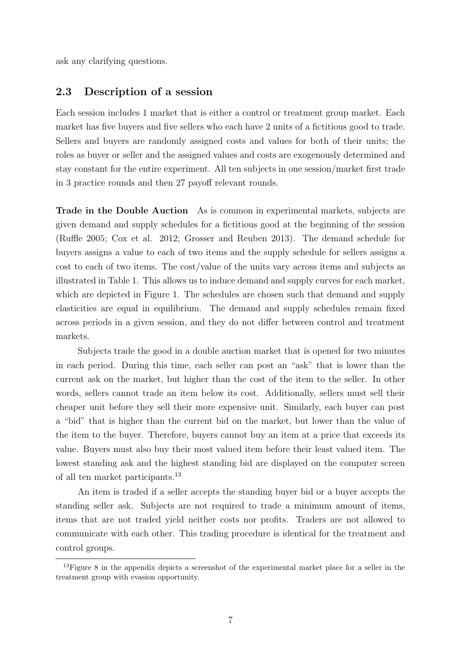ask any clarifying questions.

#### 2.3 Description of a session

Each session includes 1 market that is either a control or treatment group market. Each market has five buyers and five sellers who each have 2 units of a fictitious good to trade. Sellers and buyers are randomly assigned costs and values for both of their units; the roles as buyer or seller and the assigned values and costs are exogenously determined and stay constant for the entire experiment. All ten subjects in one session/market first trade in 3 practice rounds and then 27 payoff relevant rounds.

Trade in the Double Auction As is common in experimental markets, subjects are given demand and supply schedules for a fictitious good at the beginning of the session [\(Ruffle 2005;](#page-30-4) [Cox et al. 2012;](#page-27-9) [Grosser and Reuben 2013\)](#page-28-1). The demand schedule for buyers assigns a value to each of two items and the supply schedule for sellers assigns a cost to each of two items. The cost/value of the units vary across items and subjects as illustrated in Table [1.](#page-31-0) This allows us to induce demand and supply curves for each market, which are depicted in Figure [1.](#page-35-0) The schedules are chosen such that demand and supply elasticities are equal in equilibrium. The demand and supply schedules remain fixed across periods in a given session, and they do not differ between control and treatment markets.

Subjects trade the good in a double auction market that is opened for two minutes in each period. During this time, each seller can post an "ask" that is lower than the current ask on the market, but higher than the cost of the item to the seller. In other words, sellers cannot trade an item below its cost. Additionally, sellers must sell their cheaper unit before they sell their more expensive unit. Similarly, each buyer can post a "bid" that is higher than the current bid on the market, but lower than the value of the item to the buyer. Therefore, buyers cannot buy an item at a price that exceeds its value. Buyers must also buy their most valued item before their least valued item. The lowest standing ask and the highest standing bid are displayed on the computer screen of all ten market participants.[13](#page-9-0)

An item is traded if a seller accepts the standing buyer bid or a buyer accepts the standing seller ask. Subjects are not required to trade a minimum amount of items, items that are not traded yield neither costs nor profits. Traders are not allowed to communicate with each other. This trading procedure is identical for the treatment and control groups.

<span id="page-9-0"></span><sup>&</sup>lt;sup>13</sup>Figure [8](#page-44-0) in the appendix depicts a screenshot of the experimental market place for a seller in the treatment group with evasion opportunity.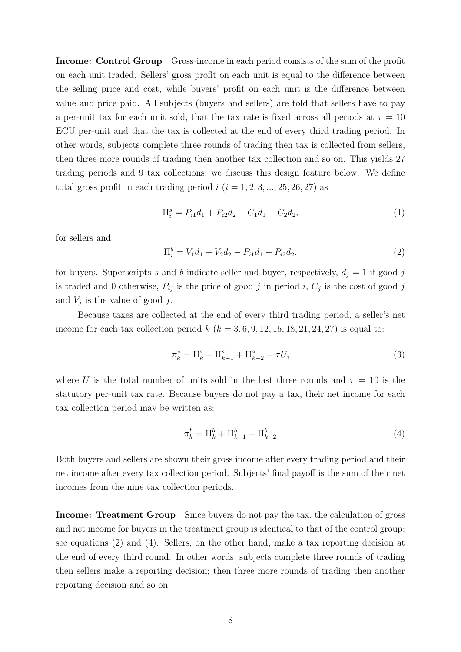Income: Control Group Gross-income in each period consists of the sum of the profit on each unit traded. Sellers' gross profit on each unit is equal to the difference between the selling price and cost, while buyers' profit on each unit is the difference between value and price paid. All subjects (buyers and sellers) are told that sellers have to pay a per-unit tax for each unit sold, that the tax rate is fixed across all periods at  $\tau = 10$ ECU per-unit and that the tax is collected at the end of every third trading period. In other words, subjects complete three rounds of trading then tax is collected from sellers, then three more rounds of trading then another tax collection and so on. This yields 27 trading periods and 9 tax collections; we discuss this design feature below. We define total gross profit in each trading period  $i$   $(i = 1, 2, 3, ..., 25, 26, 27)$  as

<span id="page-10-2"></span>
$$
\Pi_i^s = P_{i1}d_1 + P_{i2}d_2 - C_1d_1 - C_2d_2, \tag{1}
$$

for sellers and

<span id="page-10-0"></span>
$$
\Pi_i^b = V_1 d_1 + V_2 d_2 - P_{i1} d_1 - P_{i2} d_2, \tag{2}
$$

for buyers. Superscripts s and b indicate seller and buyer, respectively,  $d_j = 1$  if good j is traded and 0 otherwise,  $P_{ij}$  is the price of good j in period i,  $C_j$  is the cost of good j and  $V_j$  is the value of good j.

Because taxes are collected at the end of every third trading period, a seller's net income for each tax collection period  $k$  ( $k = 3, 6, 9, 12, 15, 18, 21, 24, 27$ ) is equal to:

$$
\pi_k^s = \Pi_k^s + \Pi_{k-1}^s + \Pi_{k-2}^s - \tau U,\tag{3}
$$

where U is the total number of units sold in the last three rounds and  $\tau = 10$  is the statutory per-unit tax rate. Because buyers do not pay a tax, their net income for each tax collection period may be written as:

<span id="page-10-1"></span>
$$
\pi_k^b = \Pi_k^b + \Pi_{k-1}^b + \Pi_{k-2}^b \tag{4}
$$

Both buyers and sellers are shown their gross income after every trading period and their net income after every tax collection period. Subjects' final payoff is the sum of their net incomes from the nine tax collection periods.

Income: Treatment Group Since buyers do not pay the tax, the calculation of gross and net income for buyers in the treatment group is identical to that of the control group: see equations [\(2\)](#page-10-0) and [\(4\)](#page-10-1). Sellers, on the other hand, make a tax reporting decision at the end of every third round. In other words, subjects complete three rounds of trading then sellers make a reporting decision; then three more rounds of trading then another reporting decision and so on.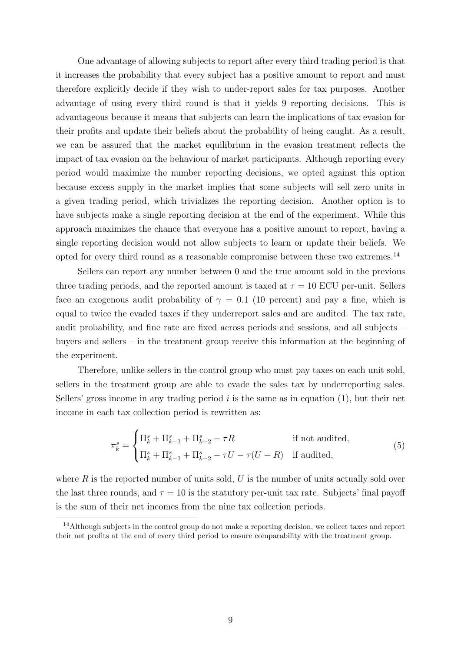One advantage of allowing subjects to report after every third trading period is that it increases the probability that every subject has a positive amount to report and must therefore explicitly decide if they wish to under-report sales for tax purposes. Another advantage of using every third round is that it yields 9 reporting decisions. This is advantageous because it means that subjects can learn the implications of tax evasion for their profits and update their beliefs about the probability of being caught. As a result, we can be assured that the market equilibrium in the evasion treatment reflects the impact of tax evasion on the behaviour of market participants. Although reporting every period would maximize the number reporting decisions, we opted against this option because excess supply in the market implies that some subjects will sell zero units in a given trading period, which trivializes the reporting decision. Another option is to have subjects make a single reporting decision at the end of the experiment. While this approach maximizes the chance that everyone has a positive amount to report, having a single reporting decision would not allow subjects to learn or update their beliefs. We opted for every third round as a reasonable compromise between these two extremes.[14](#page-11-0)

Sellers can report any number between 0 and the true amount sold in the previous three trading periods, and the reported amount is taxed at  $\tau = 10$  ECU per-unit. Sellers face an exogenous audit probability of  $\gamma = 0.1$  (10 percent) and pay a fine, which is equal to twice the evaded taxes if they underreport sales and are audited. The tax rate, audit probability, and fine rate are fixed across periods and sessions, and all subjects – buyers and sellers – in the treatment group receive this information at the beginning of the experiment.

Therefore, unlike sellers in the control group who must pay taxes on each unit sold, sellers in the treatment group are able to evade the sales tax by underreporting sales. Sellers' gross income in any trading period  $i$  is the same as in equation  $(1)$ , but their net income in each tax collection period is rewritten as:

$$
\pi_k^s = \begin{cases} \Pi_k^s + \Pi_{k-1}^s + \Pi_{k-2}^s - \tau R & \text{if not audited,} \\ \Pi_k^s + \Pi_{k-1}^s + \Pi_{k-2}^s - \tau U - \tau (U - R) & \text{if audited,} \end{cases}
$$
(5)

where  $R$  is the reported number of units sold,  $U$  is the number of units actually sold over the last three rounds, and  $\tau = 10$  is the statutory per-unit tax rate. Subjects' final payoff is the sum of their net incomes from the nine tax collection periods.

<span id="page-11-0"></span> $14$ Although subjects in the control group do not make a reporting decision, we collect taxes and report their net profits at the end of every third period to ensure comparability with the treatment group.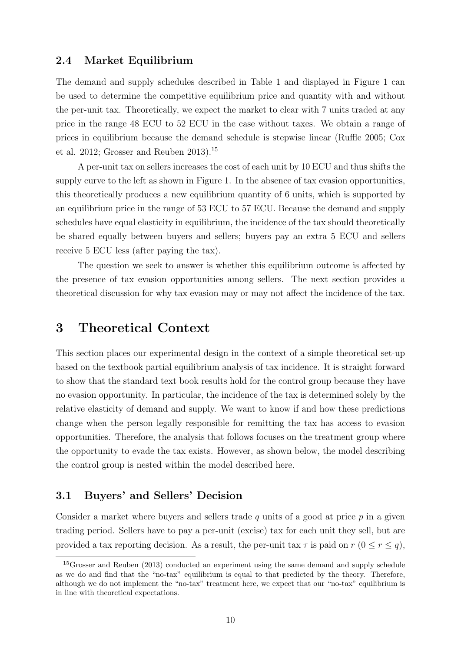## <span id="page-12-2"></span>2.4 Market Equilibrium

The demand and supply schedules described in Table [1](#page-31-0) and displayed in Figure [1](#page-35-0) can be used to determine the competitive equilibrium price and quantity with and without the per-unit tax. Theoretically, we expect the market to clear with 7 units traded at any price in the range 48 ECU to 52 ECU in the case without taxes. We obtain a range of prices in equilibrium because the demand schedule is stepwise linear [\(Ruffle 2005;](#page-30-4) [Cox](#page-27-9) [et al. 2012;](#page-27-9) [Grosser and Reuben 2013\)](#page-28-1).[15](#page-12-1)

A per-unit tax on sellers increases the cost of each unit by 10 ECU and thus shifts the supply curve to the left as shown in Figure [1.](#page-35-0) In the absence of tax evasion opportunities, this theoretically produces a new equilibrium quantity of 6 units, which is supported by an equilibrium price in the range of 53 ECU to 57 ECU. Because the demand and supply schedules have equal elasticity in equilibrium, the incidence of the tax should theoretically be shared equally between buyers and sellers; buyers pay an extra 5 ECU and sellers receive 5 ECU less (after paying the tax).

The question we seek to answer is whether this equilibrium outcome is affected by the presence of tax evasion opportunities among sellers. The next section provides a theoretical discussion for why tax evasion may or may not affect the incidence of the tax.

## <span id="page-12-0"></span>3 Theoretical Context

This section places our experimental design in the context of a simple theoretical set-up based on the textbook partial equilibrium analysis of tax incidence. It is straight forward to show that the standard text book results hold for the control group because they have no evasion opportunity. In particular, the incidence of the tax is determined solely by the relative elasticity of demand and supply. We want to know if and how these predictions change when the person legally responsible for remitting the tax has access to evasion opportunities. Therefore, the analysis that follows focuses on the treatment group where the opportunity to evade the tax exists. However, as shown below, the model describing the control group is nested within the model described here.

## 3.1 Buyers' and Sellers' Decision

Consider a market where buyers and sellers trade  $q$  units of a good at price  $p$  in a given trading period. Sellers have to pay a per-unit (excise) tax for each unit they sell, but are provided a tax reporting decision. As a result, the per-unit tax  $\tau$  is paid on  $r$  ( $0 \le r \le q$ ),

<span id="page-12-1"></span><sup>15</sup>[Grosser and Reuben \(2013\)](#page-28-1) conducted an experiment using the same demand and supply schedule as we do and find that the "no-tax" equilibrium is equal to that predicted by the theory. Therefore, although we do not implement the "no-tax" treatment here, we expect that our "no-tax" equilibrium is in line with theoretical expectations.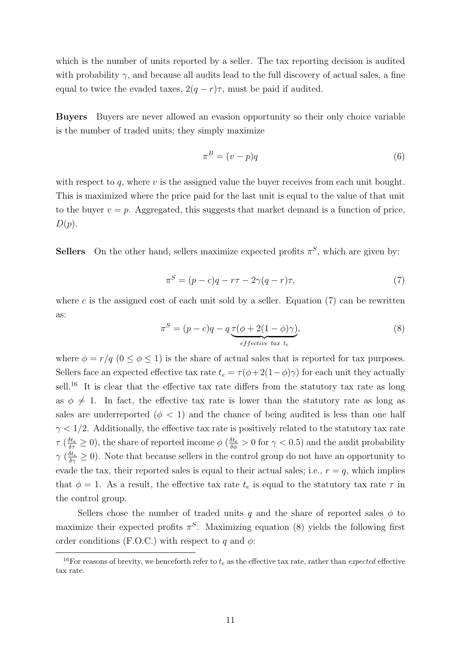which is the number of units reported by a seller. The tax reporting decision is audited with probability  $\gamma$ , and because all audits lead to the full discovery of actual sales, a fine equal to twice the evaded taxes,  $2(q - r)\tau$ , must be paid if audited.

Buyers Buyers are never allowed an evasion opportunity so their only choice variable is the number of traded units; they simply maximize

$$
\pi^B = (v - p)q \tag{6}
$$

with respect to q, where  $v$  is the assigned value the buyer receives from each unit bought. This is maximized where the price paid for the last unit is equal to the value of that unit to the buyer  $v = p$ . Aggregated, this suggests that market demand is a function of price,  $D(p).$ 

**Sellers** On the other hand, sellers maximize expected profits  $\pi^S$ , which are given by:

<span id="page-13-0"></span>
$$
\pi^S = (p - c)q - r\tau - 2\gamma(q - r)\tau,\tag{7}
$$

where c is the assigned cost of each unit sold by a seller. Equation  $(7)$  can be rewritten as:

<span id="page-13-2"></span>
$$
\pi^S = (p - c)q - q \underbrace{\tau(\phi + 2(1 - \phi)\gamma)}_{effective \ tax \ t_e},
$$
\n(8)

where  $\phi = r/q$   $(0 \le \phi \le 1)$  is the share of actual sales that is reported for tax purposes. Sellers face an expected effective tax rate  $t_e = \tau(\phi + 2(1-\phi)\gamma)$  for each unit they actually sell.<sup>[16](#page-13-1)</sup> It is clear that the effective tax rate differs from the statutory tax rate as long as  $\phi \neq 1$ . In fact, the effective tax rate is lower than the statutory rate as long as sales are underreported ( $\phi$  < 1) and the chance of being audited is less than one half  $\gamma$  < 1/2. Additionally, the effective tax rate is positively related to the statutory tax rate  $\tau \left(\frac{\delta t_e}{\delta \tau}\geq 0\right)$ , the share of reported income  $\phi \left(\frac{\delta t_e}{\delta \phi}>0 \text{ for }\gamma<0.5\right)$  and the audit probability  $\gamma\ (\frac{\delta t_e}{\delta \gamma} \geq 0)$ . Note that because sellers in the control group do not have an opportunity to evade the tax, their reported sales is equal to their actual sales; i.e.,  $r = q$ , which implies that  $\phi = 1$ . As a result, the effective tax rate  $t_e$  is equal to the statutory tax rate  $\tau$  in the control group.

Sellers chose the number of traded units q and the share of reported sales  $\phi$  to maximize their expected profits  $\pi^S$ . Maximizing equation [\(8\)](#page-13-2) yields the following first order conditions (F.O.C.) with respect to q and  $\phi$ :

<span id="page-13-1"></span><sup>&</sup>lt;sup>16</sup>For reasons of brevity, we henceforth refer to  $t_e$  as the effective tax rate, rather than *expected* effective tax rate.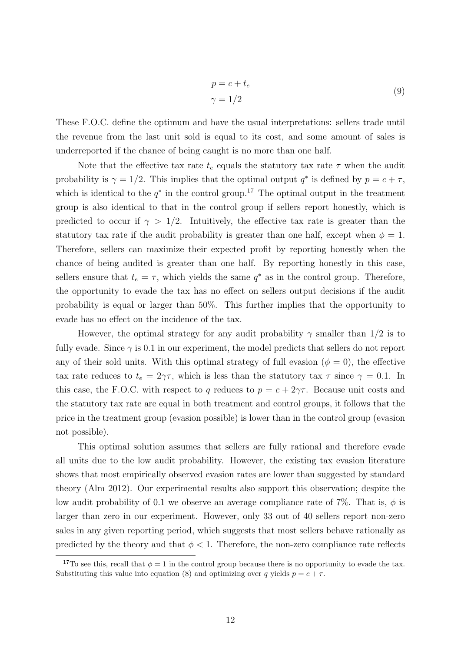$$
p = c + t_e
$$
  
\n
$$
\gamma = 1/2
$$
\n(9)

These F.O.C. define the optimum and have the usual interpretations: sellers trade until the revenue from the last unit sold is equal to its cost, and some amount of sales is underreported if the chance of being caught is no more than one half.

Note that the effective tax rate  $t_e$  equals the statutory tax rate  $\tau$  when the audit probability is  $\gamma = 1/2$ . This implies that the optimal output  $q^*$  is defined by  $p = c + \tau$ , which is identical to the  $q^*$  in the control group.<sup>[17](#page-14-0)</sup> The optimal output in the treatment group is also identical to that in the control group if sellers report honestly, which is predicted to occur if  $\gamma > 1/2$ . Intuitively, the effective tax rate is greater than the statutory tax rate if the audit probability is greater than one half, except when  $\phi = 1$ . Therefore, sellers can maximize their expected profit by reporting honestly when the chance of being audited is greater than one half. By reporting honestly in this case, sellers ensure that  $t_e = \tau$ , which yields the same  $q^*$  as in the control group. Therefore, the opportunity to evade the tax has no effect on sellers output decisions if the audit probability is equal or larger than 50%. This further implies that the opportunity to evade has no effect on the incidence of the tax.

However, the optimal strategy for any audit probability  $\gamma$  smaller than 1/2 is to fully evade. Since  $\gamma$  is 0.1 in our experiment, the model predicts that sellers do not report any of their sold units. With this optimal strategy of full evasion ( $\phi = 0$ ), the effective tax rate reduces to  $t_e = 2\gamma\tau$ , which is less than the statutory tax  $\tau$  since  $\gamma = 0.1$ . In this case, the F.O.C. with respect to q reduces to  $p = c + 2\gamma\tau$ . Because unit costs and the statutory tax rate are equal in both treatment and control groups, it follows that the price in the treatment group (evasion possible) is lower than in the control group (evasion not possible).

This optimal solution assumes that sellers are fully rational and therefore evade all units due to the low audit probability. However, the existing tax evasion literature shows that most empirically observed evasion rates are lower than suggested by standard theory [\(Alm 2012\)](#page-26-3). Our experimental results also support this observation; despite the low audit probability of 0.1 we observe an average compliance rate of 7%. That is,  $\phi$  is larger than zero in our experiment. However, only 33 out of 40 sellers report non-zero sales in any given reporting period, which suggests that most sellers behave rationally as predicted by the theory and that  $\phi < 1$ . Therefore, the non-zero compliance rate reflects

<span id="page-14-0"></span><sup>&</sup>lt;sup>17</sup>To see this, recall that  $\phi = 1$  in the control group because there is no opportunity to evade the tax. Substituting this value into equation [\(8\)](#page-13-2) and optimizing over q yields  $p = c + \tau$ .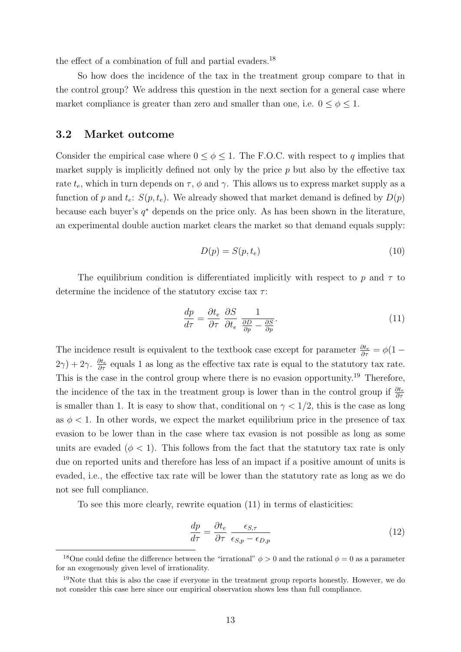the effect of a combination of full and partial evaders.<sup>[18](#page-15-0)</sup>

So how does the incidence of the tax in the treatment group compare to that in the control group? We address this question in the next section for a general case where market compliance is greater than zero and smaller than one, i.e.  $0 \le \phi \le 1$ .

## 3.2 Market outcome

Consider the empirical case where  $0 \le \phi \le 1$ . The F.O.C. with respect to q implies that market supply is implicitly defined not only by the price  $p$  but also by the effective tax rate  $t_e$ , which in turn depends on  $\tau$ ,  $\phi$  and  $\gamma$ . This allows us to express market supply as a function of p and  $t_e$ :  $S(p, t_e)$ . We already showed that market demand is defined by  $D(p)$ because each buyer's  $q^*$  depends on the price only. As has been shown in the literature, an experimental double auction market clears the market so that demand equals supply:

$$
D(p) = S(p, t_e) \tag{10}
$$

The equilibrium condition is differentiated implicitly with respect to p and  $\tau$  to determine the incidence of the statutory excise tax  $\tau$ :

<span id="page-15-2"></span>
$$
\frac{dp}{d\tau} = \frac{\partial t_e}{\partial \tau} \frac{\partial S}{\partial t_e} \frac{1}{\frac{\partial D}{\partial p} - \frac{\partial S}{\partial p}}.\tag{11}
$$

The incidence result is equivalent to the textbook case except for parameter  $\frac{\partial t_e}{\partial \tau} = \phi(1 - \tau)$  $(2\gamma) + 2\gamma$ .  $\frac{\partial t_e}{\partial \tau}$  equals 1 as long as the effective tax rate is equal to the statutory tax rate. This is the case in the control group where there is no evasion opportunity.<sup>[19](#page-15-1)</sup> Therefore, the incidence of the tax in the treatment group is lower than in the control group if  $\frac{\partial t_e}{\partial \tau}$ is smaller than 1. It is easy to show that, conditional on  $\gamma < 1/2$ , this is the case as long as  $\phi$  < 1. In other words, we expect the market equilibrium price in the presence of tax evasion to be lower than in the case where tax evasion is not possible as long as some units are evaded ( $\phi$  < 1). This follows from the fact that the statutory tax rate is only due on reported units and therefore has less of an impact if a positive amount of units is evaded, i.e., the effective tax rate will be lower than the statutory rate as long as we do not see full compliance.

To see this more clearly, rewrite equation [\(11\)](#page-15-2) in terms of elasticities:

$$
\frac{dp}{d\tau} = \frac{\partial t_e}{\partial \tau} \frac{\epsilon_{S,\tau}}{\epsilon_{S,p} - \epsilon_{D,p}}\tag{12}
$$

<span id="page-15-0"></span><sup>&</sup>lt;sup>18</sup>One could define the difference between the "irrational"  $\phi > 0$  and the rational  $\phi = 0$  as a parameter for an exogenously given level of irrationality.

<span id="page-15-1"></span><sup>&</sup>lt;sup>19</sup>Note that this is also the case if everyone in the treatment group reports honestly. However, we do not consider this case here since our empirical observation shows less than full compliance.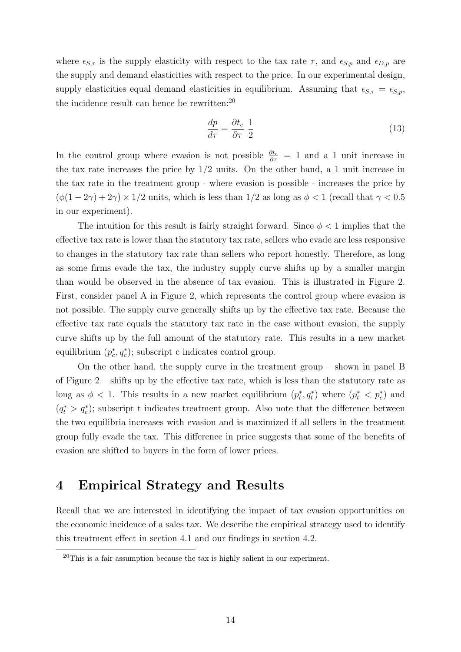where  $\epsilon_{S,\tau}$  is the supply elasticity with respect to the tax rate  $\tau$ , and  $\epsilon_{S,p}$  and  $\epsilon_{D,p}$  are the supply and demand elasticities with respect to the price. In our experimental design, supply elasticities equal demand elasticities in equilibrium. Assuming that  $\epsilon_{S,\tau} = \epsilon_{S,p}$ , the incidence result can hence be rewritten:[20](#page-16-1)

$$
\frac{dp}{d\tau} = \frac{\partial t_e}{\partial \tau} \frac{1}{2} \tag{13}
$$

In the control group where evasion is not possible  $\frac{\partial t_e}{\partial \tau} = 1$  and a 1 unit increase in the tax rate increases the price by  $1/2$  units. On the other hand, a 1 unit increase in the tax rate in the treatment group - where evasion is possible - increases the price by  $(\phi(1-2\gamma)+2\gamma) \times 1/2$  units, which is less than  $1/2$  as long as  $\phi < 1$  (recall that  $\gamma < 0.5$ ) in our experiment).

The intuition for this result is fairly straight forward. Since  $\phi < 1$  implies that the effective tax rate is lower than the statutory tax rate, sellers who evade are less responsive to changes in the statutory tax rate than sellers who report honestly. Therefore, as long as some firms evade the tax, the industry supply curve shifts up by a smaller margin than would be observed in the absence of tax evasion. This is illustrated in Figure [2.](#page-36-0) First, consider panel A in Figure [2,](#page-36-0) which represents the control group where evasion is not possible. The supply curve generally shifts up by the effective tax rate. Because the effective tax rate equals the statutory tax rate in the case without evasion, the supply curve shifts up by the full amount of the statutory rate. This results in a new market equilibrium  $(p_c^*, q_c^*)$ ; subscript c indicates control group.

On the other hand, the supply curve in the treatment group – shown in panel B of Figure [2](#page-36-0) – shifts up by the effective tax rate, which is less than the statutory rate as long as  $\phi < 1$ . This results in a new market equilibrium  $(p_t^*, q_t^*)$  where  $(p_t^* < p_c^*)$  and  $(q_t^* > q_c^*)$ ; subscript t indicates treatment group. Also note that the difference between the two equilibria increases with evasion and is maximized if all sellers in the treatment group fully evade the tax. This difference in price suggests that some of the benefits of evasion are shifted to buyers in the form of lower prices.

## <span id="page-16-0"></span>4 Empirical Strategy and Results

Recall that we are interested in identifying the impact of tax evasion opportunities on the economic incidence of a sales tax. We describe the empirical strategy used to identify this treatment effect in section [4.1](#page-17-0) and our findings in section [4.2.](#page-18-1)

<span id="page-16-1"></span> $^{20}$ This is a fair assumption because the tax is highly salient in our experiment.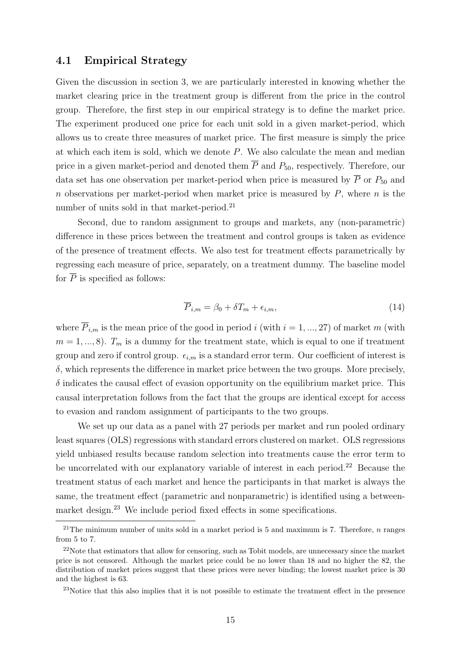## <span id="page-17-0"></span>4.1 Empirical Strategy

Given the discussion in section [3,](#page-12-0) we are particularly interested in knowing whether the market clearing price in the treatment group is different from the price in the control group. Therefore, the first step in our empirical strategy is to define the market price. The experiment produced one price for each unit sold in a given market-period, which allows us to create three measures of market price. The first measure is simply the price at which each item is sold, which we denote P. We also calculate the mean and median price in a given market-period and denoted them  $\overline{P}$  and  $P_{50}$ , respectively. Therefore, our data set has one observation per market-period when price is measured by  $\overline{P}$  or  $P_{50}$  and n observations per market-period when market price is measured by  $P$ , where  $n$  is the number of units sold in that market-period.<sup>[21](#page-17-1)</sup>

Second, due to random assignment to groups and markets, any (non-parametric) difference in these prices between the treatment and control groups is taken as evidence of the presence of treatment effects. We also test for treatment effects parametrically by regressing each measure of price, separately, on a treatment dummy. The baseline model for  $\overline{P}$  is specified as follows:

<span id="page-17-4"></span>
$$
\overline{P}_{i,m} = \beta_0 + \delta T_m + \epsilon_{i,m},\tag{14}
$$

where  $\overline{P}_{i,m}$  is the mean price of the good in period i (with  $i = 1, ..., 27$ ) of market m (with  $m = 1, ..., 8$ ).  $T_m$  is a dummy for the treatment state, which is equal to one if treatment group and zero if control group.  $\epsilon_{i,m}$  is a standard error term. Our coefficient of interest is  $\delta$ , which represents the difference in market price between the two groups. More precisely,  $\delta$  indicates the causal effect of evasion opportunity on the equilibrium market price. This causal interpretation follows from the fact that the groups are identical except for access to evasion and random assignment of participants to the two groups.

We set up our data as a panel with 27 periods per market and run pooled ordinary least squares (OLS) regressions with standard errors clustered on market. OLS regressions yield unbiased results because random selection into treatments cause the error term to be uncorrelated with our explanatory variable of interest in each period.<sup>[22](#page-17-2)</sup> Because the treatment status of each market and hence the participants in that market is always the same, the treatment effect (parametric and nonparametric) is identified using a betweenmarket design.[23](#page-17-3) We include period fixed effects in some specifications.

<span id="page-17-1"></span><sup>&</sup>lt;sup>21</sup>The minimum number of units sold in a market period is 5 and maximum is 7. Therefore, *n* ranges from 5 to 7.

<span id="page-17-2"></span><sup>22</sup>Note that estimators that allow for censoring, such as Tobit models, are unnecessary since the market price is not censored. Although the market price could be no lower than 18 and no higher the 82, the distribution of market prices suggest that these prices were never binding; the lowest market price is 30 and the highest is 63.

<span id="page-17-3"></span><sup>&</sup>lt;sup>23</sup>Notice that this also implies that it is not possible to estimate the treatment effect in the presence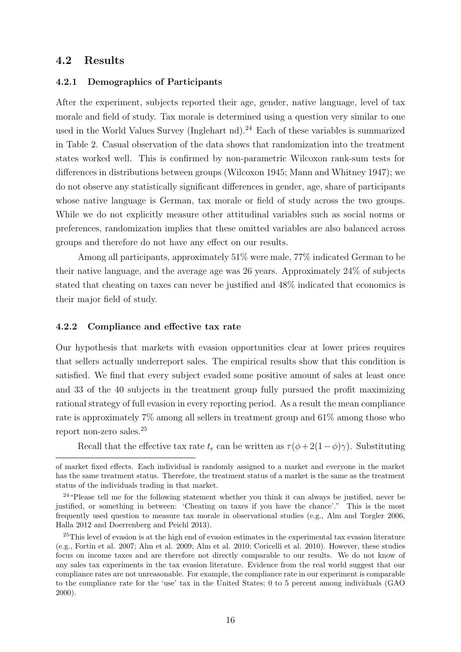## <span id="page-18-1"></span>4.2 Results

#### <span id="page-18-0"></span>4.2.1 Demographics of Participants

After the experiment, subjects reported their age, gender, native language, level of tax morale and field of study. Tax morale is determined using a question very similar to one used in the World Values Survey [\(Inglehart nd\)](#page-29-10).<sup>[24](#page-18-2)</sup> Each of these variables is summarized in Table [2.](#page-31-1) Casual observation of the data shows that randomization into the treatment states worked well. This is confirmed by non-parametric Wilcoxon rank-sum tests for differences in distributions between groups [\(Wilcoxon 1945;](#page-30-13) [Mann and Whitney 1947\)](#page-29-11); we do not observe any statistically significant differences in gender, age, share of participants whose native language is German, tax morale or field of study across the two groups. While we do not explicitly measure other attitudinal variables such as social norms or preferences, randomization implies that these omitted variables are also balanced across groups and therefore do not have any effect on our results.

Among all participants, approximately 51% were male, 77% indicated German to be their native language, and the average age was 26 years. Approximately 24% of subjects stated that cheating on taxes can never be justified and 48% indicated that economics is their major field of study.

#### <span id="page-18-4"></span>4.2.2 Compliance and effective tax rate

Our hypothesis that markets with evasion opportunities clear at lower prices requires that sellers actually underreport sales. The empirical results show that this condition is satisfied. We find that every subject evaded some positive amount of sales at least once and 33 of the 40 subjects in the treatment group fully pursued the profit maximizing rational strategy of full evasion in every reporting period. As a result the mean compliance rate is approximately 7% among all sellers in treatment group and 61% among those who report non-zero sales.[25](#page-18-3)

Recall that the effective tax rate  $t_e$  can be written as  $\tau(\phi + 2(1-\phi)\gamma)$ . Substituting

of market fixed effects. Each individual is randomly assigned to a market and everyone in the market has the same treatment status. Therefore, the treatment status of a market is the same as the treatment status of the individuals trading in that market.

<span id="page-18-2"></span><sup>&</sup>lt;sup>24</sup> "Please tell me for the following statement whether you think it can always be justified, never be justified, or something in between: 'Cheating on taxes if you have the chance'." This is the most frequently used question to measure tax morale in observational studies (e.g., [Alm and Torgler 2006,](#page-26-5) [Halla 2012](#page-29-12) and [Doerrenberg and Peichl 2013\)](#page-27-10).

<span id="page-18-3"></span><sup>&</sup>lt;sup>25</sup>This level of evasion is at the high end of evasion estimates in the experimental tax evasion literature (e.g., [Fortin et al. 2007;](#page-28-4) [Alm et al. 2009;](#page-26-2) [Alm et al. 2010;](#page-26-6) [Coricelli et al. 2010\)](#page-27-11). However, these studies focus on income taxes and are therefore not directly comparable to our results. We do not know of any sales tax experiments in the tax evasion literature. Evidence from the real world suggest that our compliance rates are not unreasonable. For example, the compliance rate in our experiment is comparable to the compliance rate for the 'use' tax in the United States; 0 to 5 percent among individuals [\(GAO](#page-28-8) [2000\)](#page-28-8).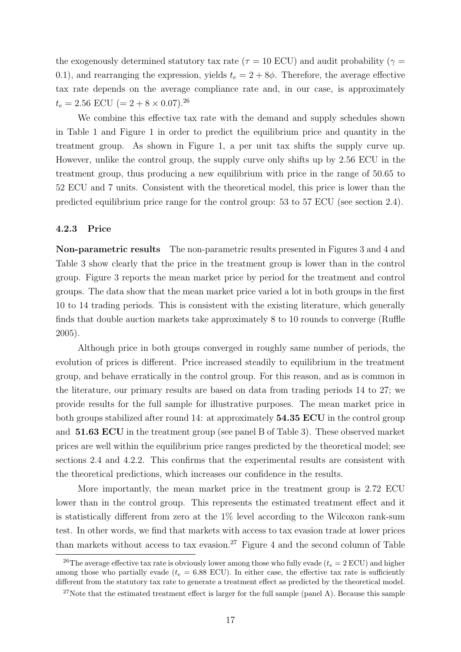the exogenously determined statutory tax rate ( $\tau = 10$  ECU) and audit probability ( $\gamma =$ 0.1), and rearranging the expression, yields  $t_e = 2 + 8\phi$ . Therefore, the average effective tax rate depends on the average compliance rate and, in our case, is approximately  $t_e = 2.56$  ECU (=  $2 + 8 \times 0.07$ ).<sup>[26](#page-19-0)</sup>

We combine this effective tax rate with the demand and supply schedules shown in Table [1](#page-31-0) and Figure [1](#page-35-0) in order to predict the equilibrium price and quantity in the treatment group. As shown in Figure [1,](#page-35-0) a per unit tax shifts the supply curve up. However, unlike the control group, the supply curve only shifts up by 2.56 ECU in the treatment group, thus producing a new equilibrium with price in the range of 50.65 to 52 ECU and 7 units. Consistent with the theoretical model, this price is lower than the predicted equilibrium price range for the control group: 53 to 57 ECU (see section [2.4\)](#page-12-2).

#### 4.2.3 Price

Non-parametric results The non-parametric results presented in Figures [3](#page-37-0) and [4](#page-38-0) and Table [3](#page-32-0) show clearly that the price in the treatment group is lower than in the control group. Figure [3](#page-37-0) reports the mean market price by period for the treatment and control groups. The data show that the mean market price varied a lot in both groups in the first 10 to 14 trading periods. This is consistent with the existing literature, which generally finds that double auction markets take approximately 8 to 10 rounds to converge [\(Ruffle](#page-30-4) [2005\)](#page-30-4).

Although price in both groups converged in roughly same number of periods, the evolution of prices is different. Price increased steadily to equilibrium in the treatment group, and behave erratically in the control group. For this reason, and as is common in the literature, our primary results are based on data from trading periods 14 to 27; we provide results for the full sample for illustrative purposes. The mean market price in both groups stabilized after round 14: at approximately **54.35 ECU** in the control group and 51.63 ECU in the treatment group (see panel B of Table [3\)](#page-32-0). These observed market prices are well within the equilibrium price ranges predicted by the theoretical model; see sections [2.4](#page-12-2) and [4.2.2.](#page-18-4) This confirms that the experimental results are consistent with the theoretical predictions, which increases our confidence in the results.

More importantly, the mean market price in the treatment group is 2.72 ECU lower than in the control group. This represents the estimated treatment effect and it is statistically different from zero at the 1% level according to the Wilcoxon rank-sum test. In other words, we find that markets with access to tax evasion trade at lower prices than markets without access to tax evasion.<sup>[27](#page-19-1)</sup> Figure [4](#page-38-0) and the second column of Table

<span id="page-19-0"></span><sup>&</sup>lt;sup>26</sup>The average effective tax rate is obviously lower among those who fully evade ( $t_e = 2$  ECU) and higher among those who partially evade ( $t_e = 6.88$  ECU). In either case, the effective tax rate is sufficiently different from the statutory tax rate to generate a treatment effect as predicted by the theoretical model.

<span id="page-19-1"></span> $27$ Note that the estimated treatment effect is larger for the full sample (panel A). Because this sample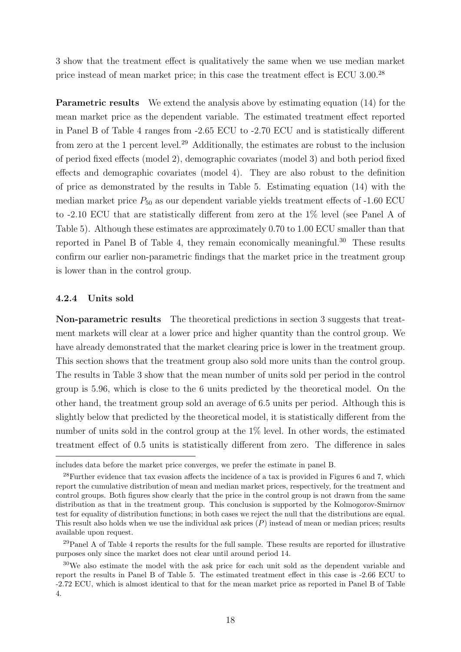[3](#page-32-0) show that the treatment effect is qualitatively the same when we use median market price instead of mean market price; in this case the treatment effect is ECU 3.00.[28](#page-20-0)

Parametric results We extend the analysis above by estimating equation [\(14\)](#page-17-4) for the mean market price as the dependent variable. The estimated treatment effect reported in Panel B of Table [4](#page-32-1) ranges from -2.65 ECU to -2.70 ECU and is statistically different from zero at the 1 percent level.[29](#page-20-1) Additionally, the estimates are robust to the inclusion of period fixed effects (model 2), demographic covariates (model 3) and both period fixed effects and demographic covariates (model 4). They are also robust to the definition of price as demonstrated by the results in Table [5.](#page-33-0) Estimating equation [\(14\)](#page-17-4) with the median market price  $P_{50}$  as our dependent variable yields treatment effects of -1.60 ECU to -2.10 ECU that are statistically different from zero at the 1% level (see Panel A of Table [5\)](#page-33-0). Although these estimates are approximately 0.70 to 1.00 ECU smaller than that reported in Panel B of Table [4,](#page-32-1) they remain economically meaningful.[30](#page-20-2) These results confirm our earlier non-parametric findings that the market price in the treatment group is lower than in the control group.

#### 4.2.4 Units sold

Non-parametric results The theoretical predictions in section [3](#page-12-0) suggests that treatment markets will clear at a lower price and higher quantity than the control group. We have already demonstrated that the market clearing price is lower in the treatment group. This section shows that the treatment group also sold more units than the control group. The results in Table [3](#page-32-0) show that the mean number of units sold per period in the control group is 5.96, which is close to the 6 units predicted by the theoretical model. On the other hand, the treatment group sold an average of 6.5 units per period. Although this is slightly below that predicted by the theoretical model, it is statistically different from the number of units sold in the control group at the 1% level. In other words, the estimated treatment effect of 0.5 units is statistically different from zero. The difference in sales

includes data before the market price converges, we prefer the estimate in panel B.

<span id="page-20-0"></span><sup>28</sup>Further evidence that tax evasion affects the incidence of a tax is provided in Figures [6](#page-42-0) and [7,](#page-43-0) which report the cumulative distribution of mean and median market prices, respectively, for the treatment and control groups. Both figures show clearly that the price in the control group is not drawn from the same distribution as that in the treatment group. This conclusion is supported by the Kolmogorov-Smirnov test for equality of distribution functions; in both cases we reject the null that the distributions are equal. This result also holds when we use the individual ask prices  $(P)$  instead of mean or median prices; results available upon request.

<span id="page-20-1"></span><sup>29</sup>Panel A of Table [4](#page-32-1) reports the results for the full sample. These results are reported for illustrative purposes only since the market does not clear until around period 14.

<span id="page-20-2"></span><sup>30</sup>We also estimate the model with the ask price for each unit sold as the dependent variable and report the results in Panel B of Table [5.](#page-33-0) The estimated treatment effect in this case is -2.66 ECU to -2.72 ECU, which is almost identical to that for the mean market price as reported in Panel B of Table [4.](#page-32-1)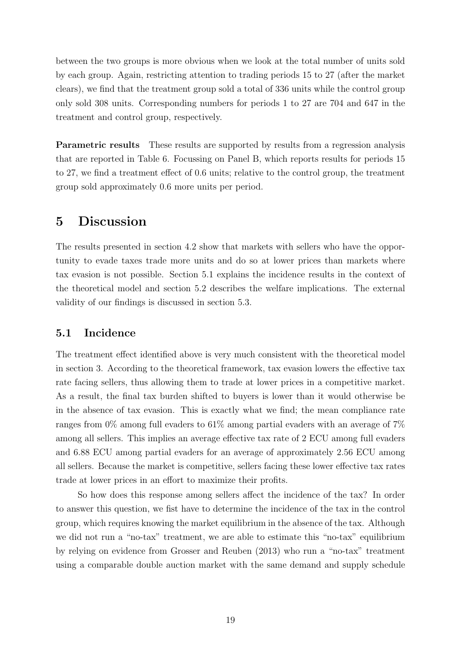between the two groups is more obvious when we look at the total number of units sold by each group. Again, restricting attention to trading periods 15 to 27 (after the market clears), we find that the treatment group sold a total of 336 units while the control group only sold 308 units. Corresponding numbers for periods 1 to 27 are 704 and 647 in the treatment and control group, respectively.

Parametric results These results are supported by results from a regression analysis that are reported in Table [6.](#page-34-0) Focussing on Panel B, which reports results for periods 15 to 27, we find a treatment effect of 0.6 units; relative to the control group, the treatment group sold approximately 0.6 more units per period.

# <span id="page-21-0"></span>5 Discussion

The results presented in section [4.2](#page-18-1) show that markets with sellers who have the opportunity to evade taxes trade more units and do so at lower prices than markets where tax evasion is not possible. Section [5.1](#page-21-1) explains the incidence results in the context of the theoretical model and section [5.2](#page-22-0) describes the welfare implications. The external validity of our findings is discussed in section [5.3.](#page-24-0)

## <span id="page-21-1"></span>5.1 Incidence

The treatment effect identified above is very much consistent with the theoretical model in section [3.](#page-12-0) According to the theoretical framework, tax evasion lowers the effective tax rate facing sellers, thus allowing them to trade at lower prices in a competitive market. As a result, the final tax burden shifted to buyers is lower than it would otherwise be in the absence of tax evasion. This is exactly what we find; the mean compliance rate ranges from 0% among full evaders to 61% among partial evaders with an average of 7% among all sellers. This implies an average effective tax rate of 2 ECU among full evaders and 6.88 ECU among partial evaders for an average of approximately 2.56 ECU among all sellers. Because the market is competitive, sellers facing these lower effective tax rates trade at lower prices in an effort to maximize their profits.

So how does this response among sellers affect the incidence of the tax? In order to answer this question, we fist have to determine the incidence of the tax in the control group, which requires knowing the market equilibrium in the absence of the tax. Although we did not run a "no-tax" treatment, we are able to estimate this "no-tax" equilibrium by relying on evidence from [Grosser and Reuben \(2013\)](#page-28-1) who run a "no-tax" treatment using a comparable double auction market with the same demand and supply schedule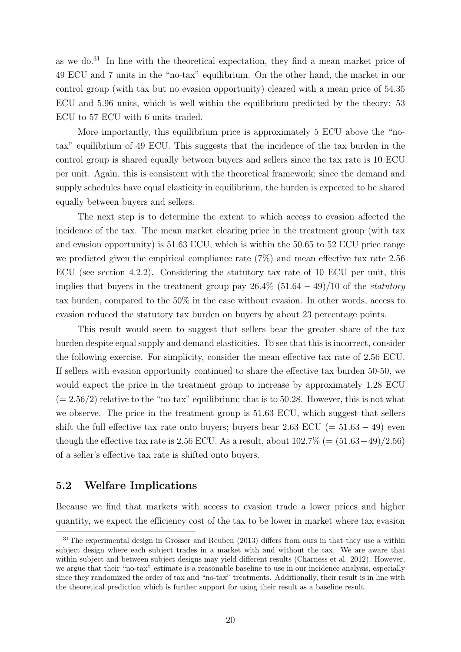as we do. $31$  In line with the theoretical expectation, they find a mean market price of 49 ECU and 7 units in the "no-tax" equilibrium. On the other hand, the market in our control group (with tax but no evasion opportunity) cleared with a mean price of 54.35 ECU and 5.96 units, which is well within the equilibrium predicted by the theory: 53 ECU to 57 ECU with 6 units traded.

More importantly, this equilibrium price is approximately 5 ECU above the "notax" equilibrium of 49 ECU. This suggests that the incidence of the tax burden in the control group is shared equally between buyers and sellers since the tax rate is 10 ECU per unit. Again, this is consistent with the theoretical framework; since the demand and supply schedules have equal elasticity in equilibrium, the burden is expected to be shared equally between buyers and sellers.

The next step is to determine the extent to which access to evasion affected the incidence of the tax. The mean market clearing price in the treatment group (with tax and evasion opportunity) is 51.63 ECU, which is within the 50.65 to 52 ECU price range we predicted given the empirical compliance rate (7%) and mean effective tax rate 2.56 ECU (see section [4.2.2\)](#page-18-4). Considering the statutory tax rate of 10 ECU per unit, this implies that buyers in the treatment group pay  $26.4\%$  (51.64 – 49)/10 of the *statutory* tax burden, compared to the 50% in the case without evasion. In other words, access to evasion reduced the statutory tax burden on buyers by about 23 percentage points.

This result would seem to suggest that sellers bear the greater share of the tax burden despite equal supply and demand elasticities. To see that this is incorrect, consider the following exercise. For simplicity, consider the mean effective tax rate of 2.56 ECU. If sellers with evasion opportunity continued to share the effective tax burden 50-50, we would expect the price in the treatment group to increase by approximately 1.28 ECU  $(= 2.56/2)$  relative to the "no-tax" equilibrium; that is to 50.28. However, this is not what we observe. The price in the treatment group is 51.63 ECU, which suggest that sellers shift the full effective tax rate onto buyers; buyers bear 2.63 ECU (=  $51.63 - 49$ ) even though the effective tax rate is 2.56 ECU. As a result, about  $102.7\%$  (=  $(51.63-49)/2.56$ ) of a seller's effective tax rate is shifted onto buyers.

## <span id="page-22-0"></span>5.2 Welfare Implications

Because we find that markets with access to evasion trade a lower prices and higher quantity, we expect the efficiency cost of the tax to be lower in market where tax evasion

<span id="page-22-1"></span><sup>&</sup>lt;sup>31</sup>The experimental design in [Grosser and Reuben \(2013\)](#page-28-1) differs from ours in that they use a within subject design where each subject trades in a market with and without the tax. We are aware that within subject and between subject designs may yield different results [\(Charness et al. 2012\)](#page-27-12). However, we argue that their "no-tax" estimate is a reasonable baseline to use in our incidence analysis, especially since they randomized the order of tax and "no-tax" treatments. Additionally, their result is in line with the theoretical prediction which is further support for using their result as a baseline result.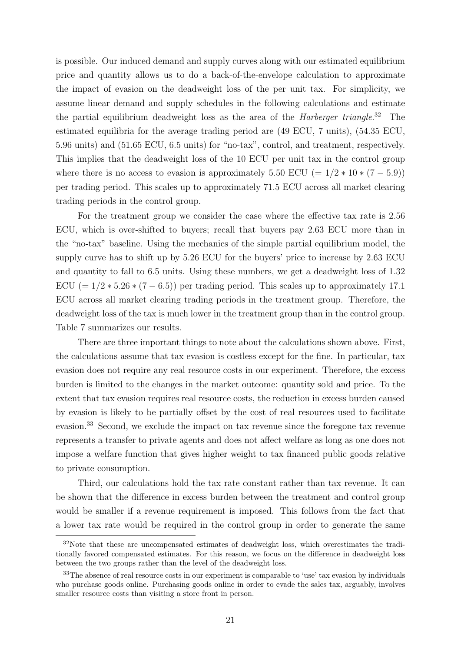is possible. Our induced demand and supply curves along with our estimated equilibrium price and quantity allows us to do a back-of-the-envelope calculation to approximate the impact of evasion on the deadweight loss of the per unit tax. For simplicity, we assume linear demand and supply schedules in the following calculations and estimate the partial equilibrium deadweight loss as the area of the *Harberger triangle*.<sup>[32](#page-23-0)</sup> The estimated equilibria for the average trading period are (49 ECU, 7 units), (54.35 ECU, 5.96 units) and (51.65 ECU, 6.5 units) for "no-tax", control, and treatment, respectively. This implies that the deadweight loss of the 10 ECU per unit tax in the control group where there is no access to evasion is approximately 5.50 ECU (=  $1/2 * 10 * (7 - 5.9)$ ) per trading period. This scales up to approximately 71.5 ECU across all market clearing trading periods in the control group.

For the treatment group we consider the case where the effective tax rate is 2.56 ECU, which is over-shifted to buyers; recall that buyers pay 2.63 ECU more than in the "no-tax" baseline. Using the mechanics of the simple partial equilibrium model, the supply curve has to shift up by 5.26 ECU for the buyers' price to increase by 2.63 ECU and quantity to fall to 6.5 units. Using these numbers, we get a deadweight loss of 1.32 ECU (=  $1/2 * 5.26 * (7 - 6.5)$ ) per trading period. This scales up to approximately 17.1 ECU across all market clearing trading periods in the treatment group. Therefore, the deadweight loss of the tax is much lower in the treatment group than in the control group. Table [7](#page-35-1) summarizes our results.

There are three important things to note about the calculations shown above. First, the calculations assume that tax evasion is costless except for the fine. In particular, tax evasion does not require any real resource costs in our experiment. Therefore, the excess burden is limited to the changes in the market outcome: quantity sold and price. To the extent that tax evasion requires real resource costs, the reduction in excess burden caused by evasion is likely to be partially offset by the cost of real resources used to facilitate evasion.<sup>[33](#page-23-1)</sup> Second, we exclude the impact on tax revenue since the foregone tax revenue represents a transfer to private agents and does not affect welfare as long as one does not impose a welfare function that gives higher weight to tax financed public goods relative to private consumption.

Third, our calculations hold the tax rate constant rather than tax revenue. It can be shown that the difference in excess burden between the treatment and control group would be smaller if a revenue requirement is imposed. This follows from the fact that a lower tax rate would be required in the control group in order to generate the same

<span id="page-23-0"></span><sup>&</sup>lt;sup>32</sup>Note that these are uncompensated estimates of deadweight loss, which overestimates the traditionally favored compensated estimates. For this reason, we focus on the difference in deadweight loss between the two groups rather than the level of the deadweight loss.

<span id="page-23-1"></span><sup>&</sup>lt;sup>33</sup>The absence of real resource costs in our experiment is comparable to 'use' tax evasion by individuals who purchase goods online. Purchasing goods online in order to evade the sales tax, arguably, involves smaller resource costs than visiting a store front in person.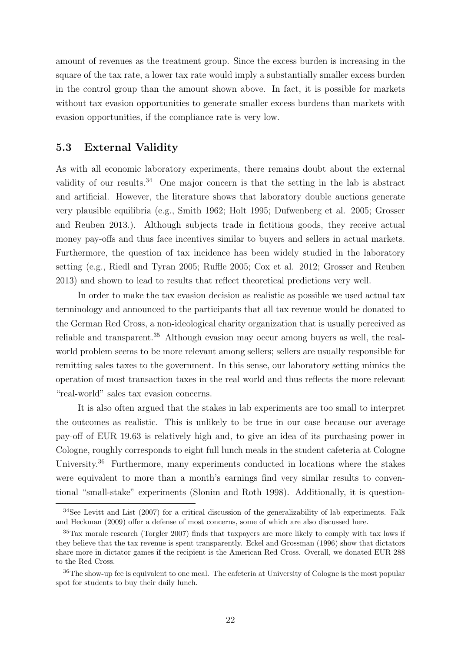amount of revenues as the treatment group. Since the excess burden is increasing in the square of the tax rate, a lower tax rate would imply a substantially smaller excess burden in the control group than the amount shown above. In fact, it is possible for markets without tax evasion opportunities to generate smaller excess burdens than markets with evasion opportunities, if the compliance rate is very low.

## <span id="page-24-0"></span>5.3 External Validity

As with all economic laboratory experiments, there remains doubt about the external validity of our results.<sup>[34](#page-24-1)</sup> One major concern is that the setting in the lab is abstract and artificial. However, the literature shows that laboratory double auctions generate very plausible equilibria (e.g., [Smith 1962;](#page-30-12) [Holt 1995;](#page-29-9) [Dufwenberg et al. 2005;](#page-27-8) [Grosser](#page-28-1) [and Reuben 2013.](#page-28-1)). Although subjects trade in fictitious goods, they receive actual money pay-offs and thus face incentives similar to buyers and sellers in actual markets. Furthermore, the question of tax incidence has been widely studied in the laboratory setting (e.g., [Riedl and Tyran 2005;](#page-30-8) [Ruffle 2005;](#page-30-4) [Cox et al. 2012;](#page-27-9) [Grosser and Reuben](#page-28-1) [2013\)](#page-28-1) and shown to lead to results that reflect theoretical predictions very well.

In order to make the tax evasion decision as realistic as possible we used actual tax terminology and announced to the participants that all tax revenue would be donated to the German Red Cross, a non-ideological charity organization that is usually perceived as reliable and transparent.<sup>[35](#page-24-2)</sup> Although evasion may occur among buyers as well, the realworld problem seems to be more relevant among sellers; sellers are usually responsible for remitting sales taxes to the government. In this sense, our laboratory setting mimics the operation of most transaction taxes in the real world and thus reflects the more relevant "real-world" sales tax evasion concerns.

It is also often argued that the stakes in lab experiments are too small to interpret the outcomes as realistic. This is unlikely to be true in our case because our average pay-off of EUR 19.63 is relatively high and, to give an idea of its purchasing power in Cologne, roughly corresponds to eight full lunch meals in the student cafeteria at Cologne University.<sup>[36](#page-24-3)</sup> Furthermore, many experiments conducted in locations where the stakes were equivalent to more than a month's earnings find very similar results to conventional "small-stake" experiments [\(Slonim and Roth 1998\)](#page-30-14). Additionally, it is question-

<span id="page-24-1"></span><sup>34</sup>See [Levitt and List \(2007\)](#page-29-13) for a critical discussion of the generalizability of lab experiments. [Falk](#page-28-11) [and Heckman \(2009\)](#page-28-11) offer a defense of most concerns, some of which are also discussed here.

<span id="page-24-2"></span><sup>35</sup>Tax morale research [\(Torgler 2007\)](#page-30-15) finds that taxpayers are more likely to comply with tax laws if they believe that the tax revenue is spent transparently. [Eckel and Grossman \(1996\)](#page-28-12) show that dictators share more in dictator games if the recipient is the American Red Cross. Overall, we donated EUR 288 to the Red Cross.

<span id="page-24-3"></span><sup>&</sup>lt;sup>36</sup>The show-up fee is equivalent to one meal. The cafeteria at University of Cologne is the most popular spot for students to buy their daily lunch.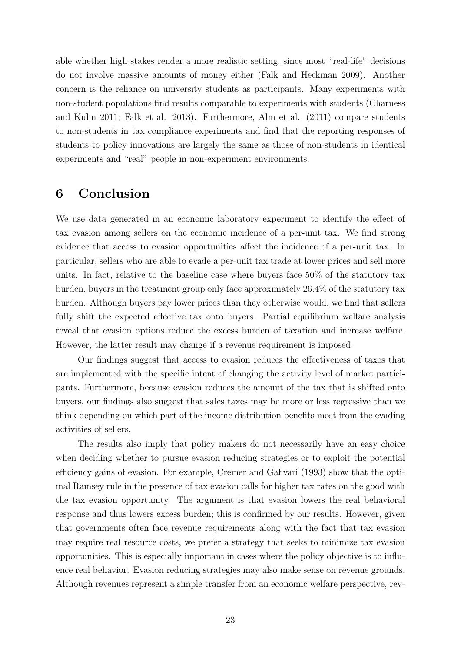able whether high stakes render a more realistic setting, since most "real-life" decisions do not involve massive amounts of money either [\(Falk and Heckman 2009\)](#page-28-11). Another concern is the reliance on university students as participants. Many experiments with non-student populations find results comparable to experiments with students [\(Charness](#page-27-13) [and Kuhn 2011;](#page-27-13) [Falk et al. 2013\)](#page-28-13). Furthermore, [Alm et al. \(2011\)](#page-26-7) compare students to non-students in tax compliance experiments and find that the reporting responses of students to policy innovations are largely the same as those of non-students in identical experiments and "real" people in non-experiment environments.

# <span id="page-25-0"></span>6 Conclusion

We use data generated in an economic laboratory experiment to identify the effect of tax evasion among sellers on the economic incidence of a per-unit tax. We find strong evidence that access to evasion opportunities affect the incidence of a per-unit tax. In particular, sellers who are able to evade a per-unit tax trade at lower prices and sell more units. In fact, relative to the baseline case where buyers face 50% of the statutory tax burden, buyers in the treatment group only face approximately 26.4% of the statutory tax burden. Although buyers pay lower prices than they otherwise would, we find that sellers fully shift the expected effective tax onto buyers. Partial equilibrium welfare analysis reveal that evasion options reduce the excess burden of taxation and increase welfare. However, the latter result may change if a revenue requirement is imposed.

Our findings suggest that access to evasion reduces the effectiveness of taxes that are implemented with the specific intent of changing the activity level of market participants. Furthermore, because evasion reduces the amount of the tax that is shifted onto buyers, our findings also suggest that sales taxes may be more or less regressive than we think depending on which part of the income distribution benefits most from the evading activities of sellers.

The results also imply that policy makers do not necessarily have an easy choice when deciding whether to pursue evasion reducing strategies or to exploit the potential efficiency gains of evasion. For example, [Cremer and Gahvari \(1993\)](#page-27-7) show that the optimal Ramsey rule in the presence of tax evasion calls for higher tax rates on the good with the tax evasion opportunity. The argument is that evasion lowers the real behavioral response and thus lowers excess burden; this is confirmed by our results. However, given that governments often face revenue requirements along with the fact that tax evasion may require real resource costs, we prefer a strategy that seeks to minimize tax evasion opportunities. This is especially important in cases where the policy objective is to influence real behavior. Evasion reducing strategies may also make sense on revenue grounds. Although revenues represent a simple transfer from an economic welfare perspective, rev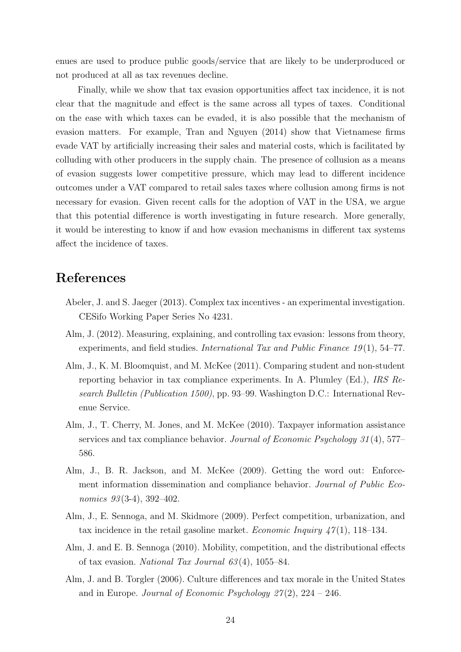enues are used to produce public goods/service that are likely to be underproduced or not produced at all as tax revenues decline.

Finally, while we show that tax evasion opportunities affect tax incidence, it is not clear that the magnitude and effect is the same across all types of taxes. Conditional on the ease with which taxes can be evaded, it is also possible that the mechanism of evasion matters. For example, [Tran and Nguyen \(2014\)](#page-30-16) show that Vietnamese firms evade VAT by artificially increasing their sales and material costs, which is facilitated by colluding with other producers in the supply chain. The presence of collusion as a means of evasion suggests lower competitive pressure, which may lead to different incidence outcomes under a VAT compared to retail sales taxes where collusion among firms is not necessary for evasion. Given recent calls for the adoption of VAT in the USA, we argue that this potential difference is worth investigating in future research. More generally, it would be interesting to know if and how evasion mechanisms in different tax systems affect the incidence of taxes.

# References

- <span id="page-26-4"></span>Abeler, J. and S. Jaeger (2013). Complex tax incentives - an experimental investigation. CESifo Working Paper Series No 4231.
- <span id="page-26-3"></span>Alm, J. (2012). Measuring, explaining, and controlling tax evasion: lessons from theory, experiments, and field studies. *International Tax and Public Finance 19*(1), 54–77.
- <span id="page-26-7"></span>Alm, J., K. M. Bloomquist, and M. McKee (2011). Comparing student and non-student reporting behavior in tax compliance experiments. In A. Plumley (Ed.), IRS Research Bulletin (Publication 1500), pp. 93–99. Washington D.C.: International Revenue Service.
- <span id="page-26-6"></span>Alm, J., T. Cherry, M. Jones, and M. McKee (2010). Taxpayer information assistance services and tax compliance behavior. Journal of Economic Psychology 31 (4), 577– 586.
- <span id="page-26-2"></span>Alm, J., B. R. Jackson, and M. McKee (2009). Getting the word out: Enforcement information dissemination and compliance behavior. Journal of Public Economics  $93(3-4)$ ,  $392-402$ .
- <span id="page-26-0"></span>Alm, J., E. Sennoga, and M. Skidmore (2009). Perfect competition, urbanization, and tax incidence in the retail gasoline market. *Economic Inquiry 47*(1), 118–134.
- <span id="page-26-1"></span>Alm, J. and E. B. Sennoga (2010). Mobility, competition, and the distributional effects of tax evasion. National Tax Journal  $63(4)$ , 1055–84.
- <span id="page-26-5"></span>Alm, J. and B. Torgler (2006). Culture differences and tax morale in the United States and in Europe. Journal of Economic Psychology  $27(2)$ ,  $224 - 246$ .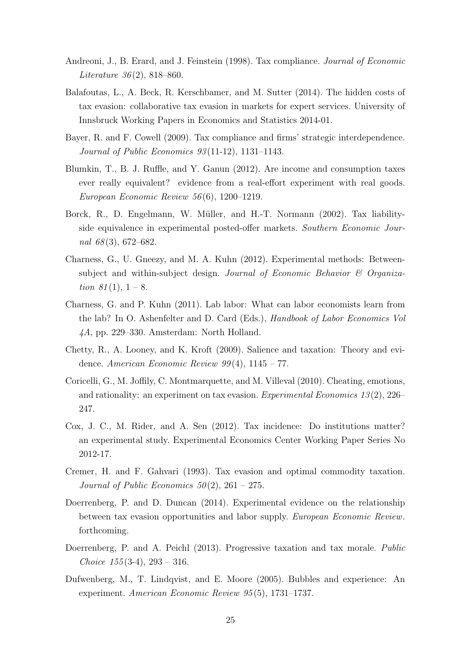- <span id="page-27-6"></span>Andreoni, J., B. Erard, and J. Feinstein (1998). Tax compliance. Journal of Economic *Literature* 36(2), 818–860.
- <span id="page-27-3"></span>Balafoutas, L., A. Beck, R. Kerschbamer, and M. Sutter (2014). The hidden costs of tax evasion: collaborative tax evasion in markets for expert services. University of Innsbruck Working Papers in Economics and Statistics 2014-01.
- <span id="page-27-1"></span>Bayer, R. and F. Cowell (2009). Tax compliance and firms' strategic interdependence. Journal of Public Economics 93 (11-12), 1131–1143.
- <span id="page-27-5"></span>Blumkin, T., B. J. Ruffle, and Y. Ganun (2012). Are income and consumption taxes ever really equivalent? evidence from a real-effort experiment with real goods. European Economic Review 56 (6), 1200–1219.
- <span id="page-27-2"></span>Borck, R., D. Engelmann, W. Müller, and H.-T. Normann (2002). Tax liabilityside equivalence in experimental posted-offer markets. Southern Economic Journal  $68(3)$ , 672–682.
- <span id="page-27-12"></span>Charness, G., U. Gneezy, and M. A. Kuhn (2012). Experimental methods: Betweensubject and within-subject design. Journal of Economic Behavior & Organization  $81(1)$ ,  $1-8$ .
- <span id="page-27-13"></span>Charness, G. and P. Kuhn (2011). Lab labor: What can labor economists learn from the lab? In O. Ashenfelter and D. Card (Eds.), Handbook of Labor Economics Vol 4A, pp. 229–330. Amsterdam: North Holland.
- <span id="page-27-0"></span>Chetty, R., A. Looney, and K. Kroft (2009). Salience and taxation: Theory and evidence. American Economic Review  $99(4)$ ,  $1145 - 77$ .
- <span id="page-27-11"></span>Coricelli, G., M. Joffily, C. Montmarquette, and M. Villeval (2010). Cheating, emotions, and rationality: an experiment on tax evasion. Experimental Economics 13(2), 226– 247.
- <span id="page-27-9"></span>Cox, J. C., M. Rider, and A. Sen (2012). Tax incidence: Do institutions matter? an experimental study. Experimental Economics Center Working Paper Series No 2012-17.
- <span id="page-27-7"></span>Cremer, H. and F. Gahvari (1993). Tax evasion and optimal commodity taxation. Journal of Public Economics  $50(2)$ ,  $261 - 275$ .
- <span id="page-27-4"></span>Doerrenberg, P. and D. Duncan (2014). Experimental evidence on the relationship between tax evasion opportunities and labor supply. European Economic Review. forthcoming.
- <span id="page-27-10"></span>Doerrenberg, P. and A. Peichl (2013). Progressive taxation and tax morale. Public Choice  $155(3-4)$ ,  $293 - 316$ .
- <span id="page-27-8"></span>Dufwenberg, M., T. Lindqvist, and E. Moore (2005). Bubbles and experience: An experiment. American Economic Review 95 (5), 1731–1737.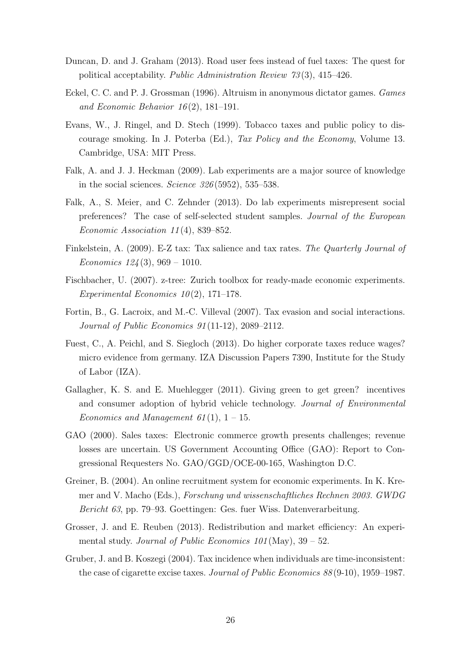- <span id="page-28-5"></span>Duncan, D. and J. Graham (2013). Road user fees instead of fuel taxes: The quest for political acceptability. Public Administration Review 73 (3), 415–426.
- <span id="page-28-12"></span>Eckel, C. C. and P. J. Grossman (1996). Altruism in anonymous dictator games. Games and Economic Behavior  $16(2)$ , 181-191.
- <span id="page-28-2"></span>Evans, W., J. Ringel, and D. Stech (1999). Tobacco taxes and public policy to discourage smoking. In J. Poterba (Ed.), Tax Policy and the Economy, Volume 13. Cambridge, USA: MIT Press.
- <span id="page-28-11"></span>Falk, A. and J. J. Heckman (2009). Lab experiments are a major source of knowledge in the social sciences. Science  $326(5952)$ , 535–538.
- <span id="page-28-13"></span>Falk, A., S. Meier, and C. Zehnder (2013). Do lab experiments misrepresent social preferences? The case of self-selected student samples. Journal of the European Economic Association 11 (4), 839–852.
- <span id="page-28-6"></span>Finkelstein, A. (2009). E-Z tax: Tax salience and tax rates. The Quarterly Journal of Economics  $124(3)$ , 969 – 1010.
- <span id="page-28-10"></span>Fischbacher, U. (2007). z-tree: Zurich toolbox for ready-made economic experiments. Experimental Economics  $10(2)$ , 171–178.
- <span id="page-28-4"></span>Fortin, B., G. Lacroix, and M.-C. Villeval (2007). Tax evasion and social interactions. Journal of Public Economics 91 (11-12), 2089–2112.
- <span id="page-28-0"></span>Fuest, C., A. Peichl, and S. Siegloch (2013). Do higher corporate taxes reduce wages? micro evidence from germany. IZA Discussion Papers 7390, Institute for the Study of Labor (IZA).
- <span id="page-28-7"></span>Gallagher, K. S. and E. Muehlegger (2011). Giving green to get green? incentives and consumer adoption of hybrid vehicle technology. Journal of Environmental Economics and Management 61(1),  $1-15$ .
- <span id="page-28-8"></span>GAO (2000). Sales taxes: Electronic commerce growth presents challenges; revenue losses are uncertain. US Government Accounting Office (GAO): Report to Congressional Requesters No. GAO/GGD/OCE-00-165, Washington D.C.
- <span id="page-28-9"></span>Greiner, B. (2004). An online recruitment system for economic experiments. In K. Kremer and V. Macho (Eds.), Forschung und wissenschaftliches Rechnen 2003. GWDG Bericht 63, pp. 79–93. Goettingen: Ges. fuer Wiss. Datenverarbeitung.
- <span id="page-28-1"></span>Grosser, J. and E. Reuben (2013). Redistribution and market efficiency: An experimental study. Journal of Public Economics  $101$  (May),  $39 - 52$ .
- <span id="page-28-3"></span>Gruber, J. and B. Koszegi (2004). Tax incidence when individuals are time-inconsistent: the case of cigarette excise taxes. Journal of Public Economics 88 (9-10), 1959–1987.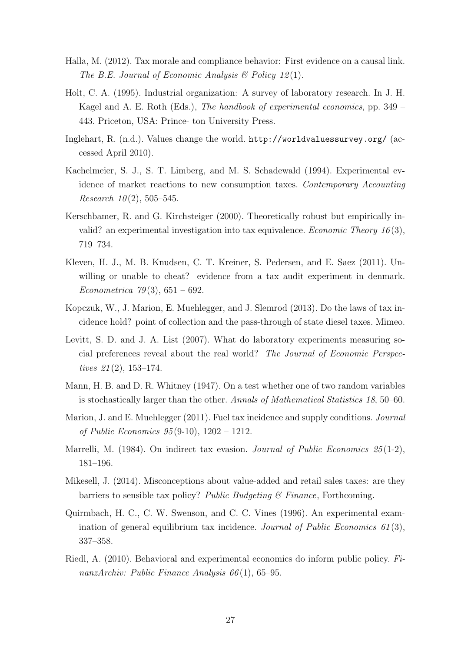- <span id="page-29-12"></span>Halla, M. (2012). Tax morale and compliance behavior: First evidence on a causal link. The B.E. Journal of Economic Analysis  $\mathcal{B}$  Policy 12(1).
- <span id="page-29-9"></span>Holt, C. A. (1995). Industrial organization: A survey of laboratory research. In J. H. Kagel and A. E. Roth (Eds.), The handbook of experimental economics, pp. 349 – 443. Priceton, USA: Prince- ton University Press.
- <span id="page-29-10"></span>Inglehart, R. (n.d.). Values change the world. <http://worldvaluessurvey.org/> (accessed April 2010).
- <span id="page-29-2"></span>Kachelmeier, S. J., S. T. Limberg, and M. S. Schadewald (1994). Experimental evidence of market reactions to new consumption taxes. Contemporary Accounting Research  $10(2)$ , 505–545.
- <span id="page-29-7"></span>Kerschbamer, R. and G. Kirchsteiger (2000). Theoretically robust but empirically invalid? an experimental investigation into tax equivalence. Economic Theory  $16(3)$ , 719–734.
- <span id="page-29-0"></span>Kleven, H. J., M. B. Knudsen, C. T. Kreiner, S. Pedersen, and E. Saez (2011). Unwilling or unable to cheat? evidence from a tax audit experiment in denmark. Econometrica 79(3),  $651 - 692$ .
- <span id="page-29-6"></span>Kopczuk, W., J. Marion, E. Muehlegger, and J. Slemrod (2013). Do the laws of tax incidence hold? point of collection and the pass-through of state diesel taxes. Mimeo.
- <span id="page-29-13"></span>Levitt, S. D. and J. A. List (2007). What do laboratory experiments measuring social preferences reveal about the real world? The Journal of Economic Perspectives  $21(2)$ , 153-174.
- <span id="page-29-11"></span>Mann, H. B. and D. R. Whitney (1947). On a test whether one of two random variables is stochastically larger than the other. Annals of Mathematical Statistics 18, 50–60.
- <span id="page-29-3"></span>Marion, J. and E. Muehlegger (2011). Fuel tax incidence and supply conditions. *Journal* of Public Economics 95 (9-10), 1202 – 1212.
- <span id="page-29-1"></span>Marrelli, M. (1984). On indirect tax evasion. Journal of Public Economics  $25(1-2)$ , 181–196.
- <span id="page-29-8"></span>Mikesell, J. (2014). Misconceptions about value-added and retail sales taxes: are they barriers to sensible tax policy? Public Budgeting  $\mathcal{C}$  Finance, Forthcoming.
- <span id="page-29-5"></span>Quirmbach, H. C., C. W. Swenson, and C. C. Vines (1996). An experimental examination of general equilibrium tax incidence. Journal of Public Economics  $61(3)$ , 337–358.
- <span id="page-29-4"></span>Riedl, A. (2010). Behavioral and experimental economics do inform public policy. FinanzArchiv: Public Finance Analysis 66(1), 65–95.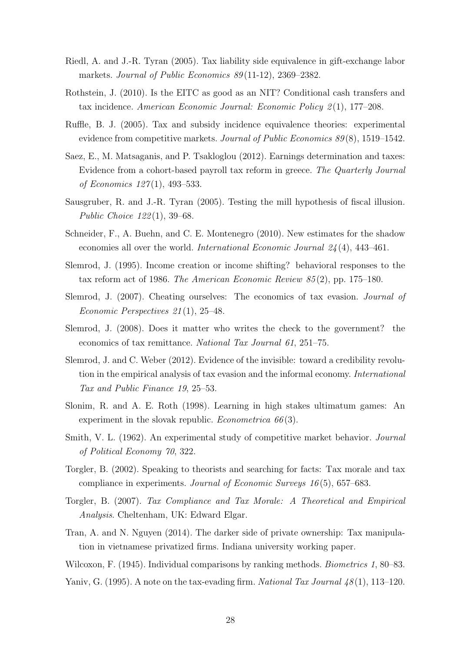- <span id="page-30-8"></span>Riedl, A. and J.-R. Tyran (2005). Tax liability side equivalence in gift-exchange labor markets. Journal of Public Economics 89(11-12), 2369–2382.
- <span id="page-30-7"></span>Rothstein, J. (2010). Is the EITC as good as an NIT? Conditional cash transfers and tax incidence. American Economic Journal: Economic Policy 2 (1), 177–208.
- <span id="page-30-4"></span>Ruffle, B. J. (2005). Tax and subsidy incidence equivalence theories: experimental evidence from competitive markets. Journal of Public Economics 89(8), 1519-1542.
- <span id="page-30-6"></span>Saez, E., M. Matsaganis, and P. Tsakloglou (2012). Earnings determination and taxes: Evidence from a cohort-based payroll tax reform in greece. The Quarterly Journal of Economics 127(1), 493–533.
- <span id="page-30-9"></span>Sausgruber, R. and J.-R. Tyran (2005). Testing the mill hypothesis of fiscal illusion. Public Choice 122 (1), 39–68.
- <span id="page-30-2"></span>Schneider, F., A. Buehn, and C. E. Montenegro (2010). New estimates for the shadow economies all over the world. International Economic Journal 24 (4), 443–461.
- <span id="page-30-5"></span>Slemrod, J. (1995). Income creation or income shifting? behavioral responses to the tax reform act of 1986. The American Economic Review 85 (2), pp. 175–180.
- <span id="page-30-1"></span>Slemrod, J. (2007). Cheating ourselves: The economics of tax evasion. Journal of Economic Perspectives 21 (1), 25–48.
- <span id="page-30-0"></span>Slemrod, J. (2008). Does it matter who writes the check to the government? the economics of tax remittance. National Tax Journal 61, 251–75.
- <span id="page-30-10"></span>Slemrod, J. and C. Weber (2012). Evidence of the invisible: toward a credibility revolution in the empirical analysis of tax evasion and the informal economy. International Tax and Public Finance 19, 25–53.
- <span id="page-30-14"></span>Slonim, R. and A. E. Roth (1998). Learning in high stakes ultimatum games: An experiment in the slovak republic. *Econometrica*  $66(3)$ .
- <span id="page-30-12"></span>Smith, V. L. (1962). An experimental study of competitive market behavior. *Journal* of Political Economy 70, 322.
- <span id="page-30-11"></span>Torgler, B. (2002). Speaking to theorists and searching for facts: Tax morale and tax compliance in experiments. Journal of Economic Surveys 16 (5), 657–683.
- <span id="page-30-15"></span>Torgler, B. (2007). Tax Compliance and Tax Morale: A Theoretical and Empirical Analysis. Cheltenham, UK: Edward Elgar.
- <span id="page-30-16"></span>Tran, A. and N. Nguyen (2014). The darker side of private ownership: Tax manipulation in vietnamese privatized firms. Indiana university working paper.
- <span id="page-30-13"></span>Wilcoxon, F. (1945). Individual comparisons by ranking methods. *Biometrics 1*, 80–83.
- <span id="page-30-3"></span>Yaniv, G. (1995). A note on the tax-evading firm. National Tax Journal  $48(1)$ , 113–120.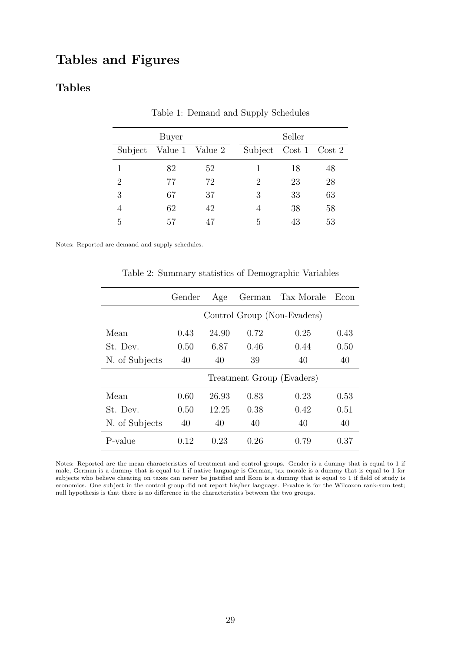# Tables and Figures

## <span id="page-31-0"></span>Tables

|                             | Buyer           |    |                       | Seller |    |
|-----------------------------|-----------------|----|-----------------------|--------|----|
| Subject                     | Value 1 Value 2 |    | Subject Cost 1 Cost 2 |        |    |
|                             | 82              | 52 |                       | 18     | 48 |
| $\mathcal{D}_{\mathcal{A}}$ | 77              | 72 | 2                     | 23     | 28 |
| 3                           | 67              | 37 | 3                     | 33     | 63 |
| $\overline{4}$              | 62              | 42 | 4                     | 38     | 58 |
| 5                           | 57              | 47 | 5                     | 43     | 53 |

Table 1: Demand and Supply Schedules

<span id="page-31-1"></span>Notes: Reported are demand and supply schedules.

Table 2: Summary statistics of Demographic Variables

|                | Gender | Age   |      | German Tax Morale           | Econ |
|----------------|--------|-------|------|-----------------------------|------|
|                |        |       |      | Control Group (Non-Evaders) |      |
| Mean           | 0.43   | 24.90 | 0.72 | 0.25                        | 0.43 |
| St. Dev.       | 0.50   | 6.87  | 0.46 | 0.44                        | 0.50 |
| N. of Subjects | 40     | 40    | 39   | 40                          | 40   |
|                |        |       |      | Treatment Group (Evaders)   |      |
| Mean           | 0.60   | 26.93 | 0.83 | 0.23                        | 0.53 |
| St. Dev.       | 0.50   | 12.25 | 0.38 | 0.42                        | 0.51 |
| N. of Subjects | 40     | 40    | 40   | 40                          | 40   |
| P-value        | 0.12   | 0.23  | 0.26 | 0.79                        | 0.37 |

Notes: Reported are the mean characteristics of treatment and control groups. Gender is a dummy that is equal to 1 if male, German is a dummy that is equal to 1 if native language is German, tax morale is a dummy that is equal to 1 for subjects who believe cheating on taxes can never be justified and Econ is a dummy that is equal to 1 if field of study is economics. One subject in the control group did not report his/her language. P-value is for the Wilcoxon rank-sum test; null hypothesis is that there is no difference in the characteristics between the two groups.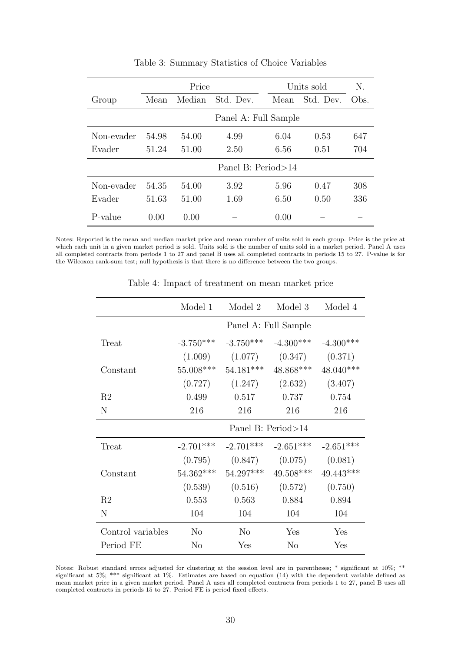<span id="page-32-0"></span>

|            |       | Price  |                      |      | Units sold | N.   |
|------------|-------|--------|----------------------|------|------------|------|
| Group      | Mean  | Median | Std. Dev.            | Mean | Std. Dev.  | Obs. |
|            |       |        | Panel A: Full Sample |      |            |      |
| Non-evader | 54.98 | 54.00  | 4.99                 | 6.04 | 0.53       | 647  |
| Evader     | 51.24 | 51.00  | 2.50                 | 6.56 | 0.51       | 704  |
|            |       |        | Panel B: Period > 14 |      |            |      |
| Non-evader | 54.35 | 54.00  | 3.92                 | 5.96 | 0.47       | 308  |
| Evader     | 51.63 | 51.00  | 1.69                 | 6.50 | 0.50       | 336  |
| P-value    | 0.00  | 0.00   |                      | 0.00 |            |      |

Table 3: Summary Statistics of Choice Variables

<span id="page-32-1"></span>Notes: Reported is the mean and median market price and mean number of units sold in each group. Price is the price at which each unit in a given market period is sold. Units sold is the number of units sold in a market period. Panel A uses all completed contracts from periods 1 to 27 and panel B uses all completed contracts in periods 15 to 27. P-value is for the Wilcoxon rank-sum test; null hypothesis is that there is no difference between the two groups.

|                   | Model 1        | Model 2        | Model 3                 | Model 4     |
|-------------------|----------------|----------------|-------------------------|-------------|
|                   |                |                | Panel A: Full Sample    |             |
| Treat             | $-3.750***$    | $-3.750***$    | $-4.300***$             | $-4.300***$ |
|                   | (1.009)        | (1.077)        | (0.347)                 | (0.371)     |
| Constant          | 55.008***      |                | $54.181***$ $48.868***$ | $48.040***$ |
|                   | (0.727)        |                | $(1.247)$ $(2.632)$     | (3.407)     |
| R <sub>2</sub>    | 0.499          | 0.517          | 0.737                   | 0.754       |
| N                 | 216            | 216            | 216                     | 216         |
|                   |                |                | Panel B: Period>14      |             |
| Treat             | $-2.701***$    | $-2.701***$    | $-2.651***$             | $-2.651***$ |
|                   | (0.795)        | (0.847)        | (0.075)                 | (0.081)     |
| Constant          | $54.362***$    | $54.297***$    | $49.508***$             | 49.443***   |
|                   | (0.539)        |                | $(0.516)$ $(0.572)$     | (0.750)     |
| R <sub>2</sub>    | 0.553          | 0.563          | 0.884                   | 0.894       |
| N                 | 104            | 104            | 104                     | 104         |
| Control variables | N <sub>0</sub> | N <sub>0</sub> | Yes                     | Yes         |
| Period FE         | N <sub>o</sub> | Yes            | N <sub>o</sub>          | Yes         |

Table 4: Impact of treatment on mean market price

Notes: Robust standard errors adjusted for clustering at the session level are in parentheses; \* significant at 10%; \*\* significant at 5%; \*\*\* significant at 1%. Estimates are based on equation [\(14\)](#page-17-4) with the dependent variable defined as mean market price in a given market period. Panel A uses all completed contracts from periods 1 to 27, panel B uses all completed contracts in periods 15 to 27. Period FE is period fixed effects.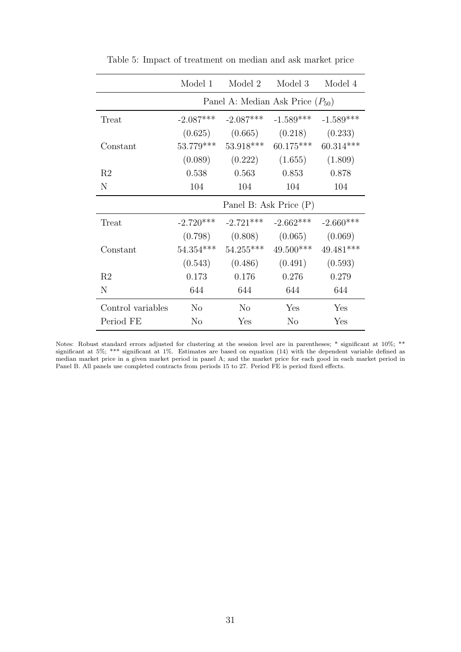<span id="page-33-0"></span>

|                   | Model 1     | Model 2                | Model 3                                 | Model 4     |
|-------------------|-------------|------------------------|-----------------------------------------|-------------|
|                   |             |                        | Panel A: Median Ask Price $(P_{50})$    |             |
| Treat             | $-2.087***$ | $-2.087***$            | $-1.589***$                             | $-1.589***$ |
|                   |             |                        | $(0.625)$ $(0.665)$ $(0.218)$           | (0.233)     |
| Constant          | $53.779***$ |                        | $53.918***$ 60.175***                   | $60.314***$ |
|                   |             |                        | $(0.089)$ $(0.222)$ $(1.655)$ $(1.809)$ |             |
| R2                | 0.538       | 0.563                  | 0.853                                   | 0.878       |
| N                 | 104         | 104                    | 104                                     | 104         |
|                   |             | Panel B: Ask Price (P) |                                         |             |
| Treat             | $-2.720***$ | $-2.721***$            | $-2.662***$                             | $-2.660***$ |
|                   |             |                        | $(0.798)$ $(0.808)$ $(0.065)$           | (0.069)     |
| Constant          | $54.354***$ | $54.255***$            | $49.500***$                             | 49.481***   |
|                   |             |                        | $(0.543)$ $(0.486)$ $(0.491)$           | (0.593)     |
| R2                | 0.173       | 0.176                  | 0.276                                   | 0.279       |
| N                 | 644         | 644                    | 644                                     | 644         |
| Control variables | $\rm No$    | N <sub>o</sub>         | Yes                                     | Yes         |
| Period FE         | $\rm No$    | Yes                    | $\rm No$                                | Yes         |

Table 5: Impact of treatment on median and ask market price

Notes: Robust standard errors adjusted for clustering at the session level are in parentheses; \* significant at  $10\%$ ; \*\* significant at 5%; \*\*\* significant at 1%. Estimates are based on equation [\(14\)](#page-17-4) with the dependent variable defined as median market price in a given market period in panel A; and the market price for each good in each market period in Panel B. All panels use completed contracts from periods 15 to 27. Period FE is period fixed effects.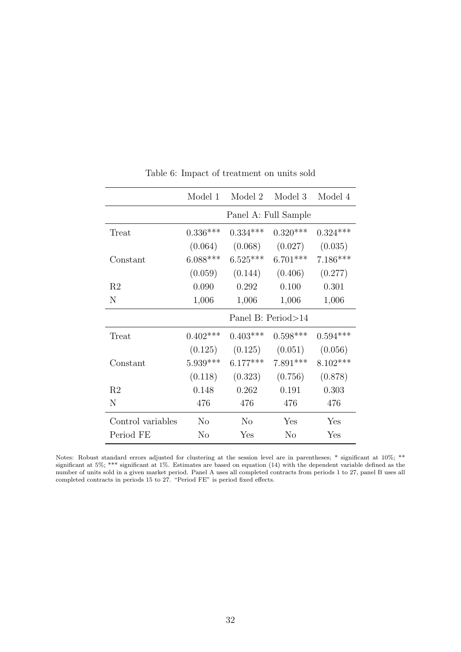<span id="page-34-0"></span>

|                   | Model 1    | Model 2              | Model 3             | Model 4    |
|-------------------|------------|----------------------|---------------------|------------|
|                   |            | Panel A: Full Sample |                     |            |
| Treat             | $0.336***$ | $0.334***$           | $0.320***$          | $0.324***$ |
|                   | (0.064)    | (0.068)              | (0.027)             | (0.035)    |
| Constant          | $6.088***$ | $6.525***$           | $6.701***$          | $7.186***$ |
|                   | (0.059)    |                      | $(0.144)$ $(0.406)$ | (0.277)    |
| R <sub>2</sub>    | 0.090      | 0.292                | 0.100               | 0.301      |
| N                 | 1,006      | 1,006                | 1,006               | 1,006      |
|                   |            | Panel B: Period>14   |                     |            |
| Treat             | $0.402***$ | $0.403***$           | $0.598***$          | $0.594***$ |
|                   | (0.125)    | $(0.125)$ $(0.051)$  |                     | (0.056)    |
| Constant          | $5.939***$ | $6.177***$           | $7.891***$          | $8.102***$ |
|                   | (0.118)    | (0.323)              | (0.756)             | (0.878)    |
| R <sub>2</sub>    | 0.148      | 0.262                | 0.191               | 0.303      |
| N                 | 476        | 476                  | 476                 | 476        |
| Control variables | $\rm No$   | $\rm No$             | Yes                 | Yes        |
| Period FE         | No         | Yes                  | N <sub>o</sub>      | Yes        |

Table 6: Impact of treatment on units sold

Notes: Robust standard errors adjusted for clustering at the session level are in parentheses; \* significant at 10%; \*\* significant at 5%; \*\*\* significant at 1%. Estimates are based on equation [\(14\)](#page-17-4) with the dependent variable defined as the number of units sold in a given market period. Panel A uses all completed contracts from periods 1 to 27, panel B uses all completed contracts in periods 15 to 27. "Period FE" is period fixed effects.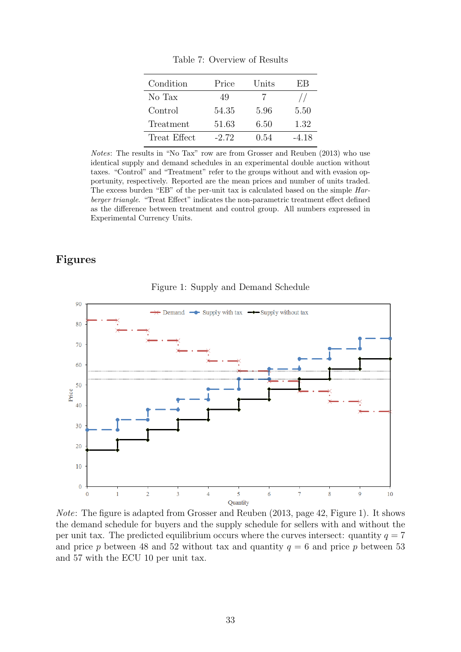<span id="page-35-1"></span>

| Condition    | Price   | Units | ЕB    |
|--------------|---------|-------|-------|
| No Tax       | 49      |       |       |
| Control      | 54.35   | 5.96  | 5.50  |
| Treatment    | 51.63   | 6.50  | 1.32  |
| Treat Effect | $-2.72$ | 0.54  | -4.18 |

Table 7: Overview of Results

Notes: The results in "No Tax" row are from [Grosser and Reuben \(2013\)](#page-28-1) who use identical supply and demand schedules in an experimental double auction without taxes. "Control" and "Treatment" refer to the groups without and with evasion opportunity, respectively. Reported are the mean prices and number of units traded. The excess burden "EB" of the per-unit tax is calculated based on the simple Harberger triangle. "Treat Effect" indicates the non-parametric treatment effect defined as the difference between treatment and control group. All numbers expressed in Experimental Currency Units.

## Figures

<span id="page-35-0"></span>

Figure 1: Supply and Demand Schedule

Note: The figure is adapted from [Grosser and Reuben \(2013, page 42, Figure 1\).](#page-28-1) It shows the demand schedule for buyers and the supply schedule for sellers with and without the per unit tax. The predicted equilibrium occurs where the curves intersect: quantity  $q = 7$ and price p between 48 and 52 without tax and quantity  $q = 6$  and price p between 53 and 57 with the ECU 10 per unit tax.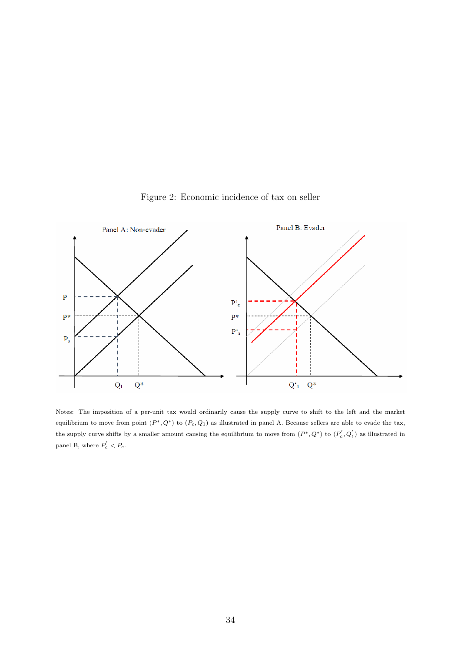<span id="page-36-0"></span>

Figure 2: Economic incidence of tax on seller

Notes: The imposition of a per-unit tax would ordinarily cause the supply curve to shift to the left and the market equilibrium to move from point  $(P^*, Q^*)$  to  $(P_c, Q_1)$  as illustrated in panel A. Because sellers are able to evade the tax, the supply curve shifts by a smaller amount causing the equilibrium to move from  $(P^*, Q^*)$  to  $(P_c', Q_1')$  as illustrated in panel B, where  $P_c' < P_c$ .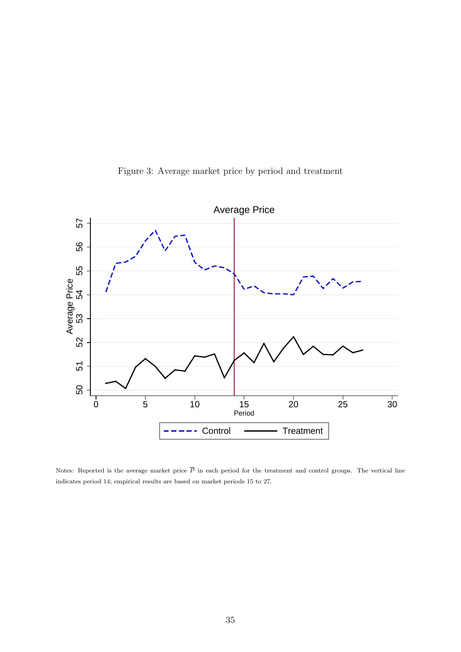<span id="page-37-0"></span>

Figure 3: Average market price by period and treatment

Notes: Reported is the average market price  $\overline{P}$  in each period for the treatment and control groups. The vertical line indicates period 14; empirical results are based on market periods 15 to 27.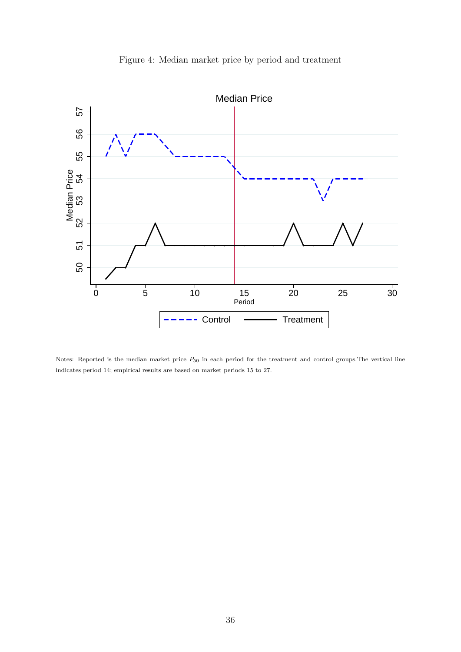<span id="page-38-0"></span>

Figure 4: Median market price by period and treatment

Notes: Reported is the median market price  $P_{50}$  in each period for the treatment and control groups. The vertical line indicates period 14; empirical results are based on market periods 15 to 27.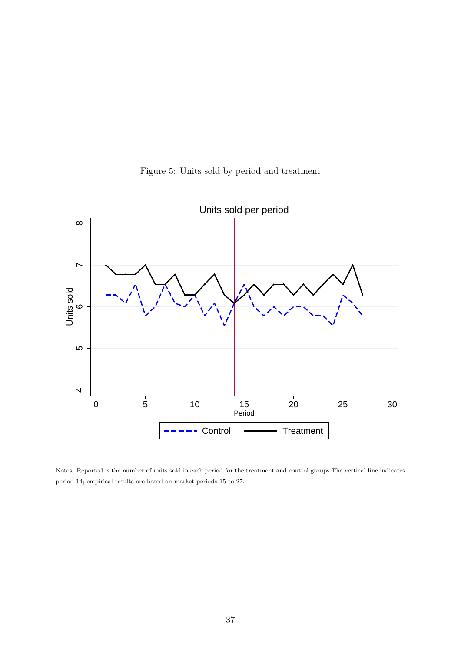

Figure 5: Units sold by period and treatment

Notes: Reported is the number of units sold in each period for the treatment and control groups.The vertical line indicates period 14; empirical results are based on market periods 15 to 27.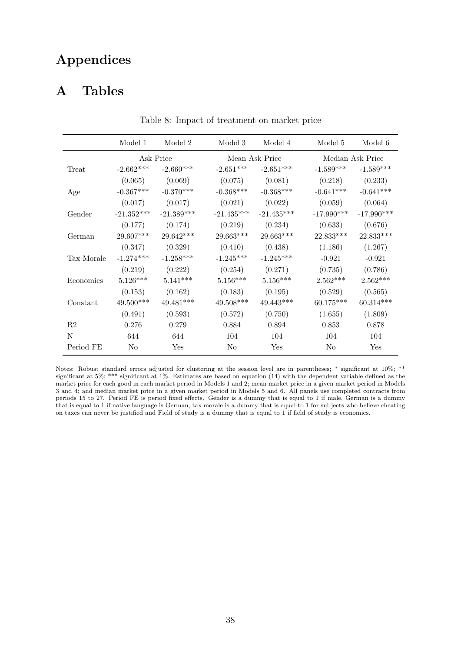# Appendices

# A Tables

|                | Model 1        | Model 2      | Model 3      | Model 4        | Model 5      | Model 6          |
|----------------|----------------|--------------|--------------|----------------|--------------|------------------|
|                |                | Ask Price    |              | Mean Ask Price |              | Median Ask Price |
| Treat          | $-2.662***$    | $-2.660***$  | $-2.651***$  | $-2.651***$    | $-1.589***$  | $-1.589***$      |
|                | (0.065)        | (0.069)      | (0.075)      | (0.081)        | (0.218)      | (0.233)          |
| Age            | $-0.367***$    | $-0.370***$  | $-0.368***$  | $-0.368***$    | $-0.641***$  | $-0.641***$      |
|                | (0.017)        | (0.017)      | (0.021)      | (0.022)        | (0.059)      | (0.064)          |
| Gender         | $-21.352***$   | $-21.389***$ | $-21.435***$ | $-21.435***$   | $-17.990***$ | $-17.990***$     |
|                | (0.177)        | (0.174)      | (0.219)      | (0.234)        | (0.633)      | (0.676)          |
| German         | 29.607***      | 29.642***    | 29.663***    | 29.663***      | 22.833***    | 22.833***        |
|                | (0.347)        | (0.329)      | (0.410)      | (0.438)        | (1.186)      | (1.267)          |
| Tax Morale     | $-1.274***$    | $-1.258***$  | $-1.245***$  | $-1.245***$    | $-0.921$     | $-0.921$         |
|                | (0.219)        | (0.222)      | (0.254)      | (0.271)        | (0.735)      | (0.786)          |
| Economics      | $5.126***$     | $5.141***$   | $5.156***$   | $5.156***$     | $2.562***$   | $2.562***$       |
|                | (0.153)        | (0.162)      | (0.183)      | (0.195)        | (0.529)      | (0.565)          |
| Constant       | 49.500***      | 49.481***    | 49.508***    | 49.443***      | 60.175***    | $60.314***$      |
|                | (0.491)        | (0.593)      | (0.572)      | (0.750)        | (1.655)      | (1.809)          |
| R <sub>2</sub> | 0.276          | 0.279        | 0.884        | 0.894          | 0.853        | 0.878            |
| N              | 644            | 644          | 104          | 104            | 104          | 104              |
| Period FE      | N <sub>0</sub> | Yes          | No           | Yes            | No           | Yes              |

Table 8: Impact of treatment on market price

Notes: Robust standard errors adjusted for clustering at the session level are in parentheses; \* significant at 10%; \*\* significant at 5%; \*\*\* significant at 1%. Estimates are based on equation [\(14\)](#page-17-4) with the dependent variable defined as the market price for each good in each market period in Models 1 and 2; mean market price in a given market period in Models 3 and 4; and median market price in a given market period in Models 5 and 6. All panels use completed contracts from periods 15 to 27. Period FE is period fixed effects. Gender is a dummy that is equal to 1 if male, German is a dummy that is equal to 1 if native language is German, tax morale is a dummy that is equal to 1 for subjects who believe cheating on taxes can never be justified and Field of study is a dummy that is equal to 1 if field of study is economics.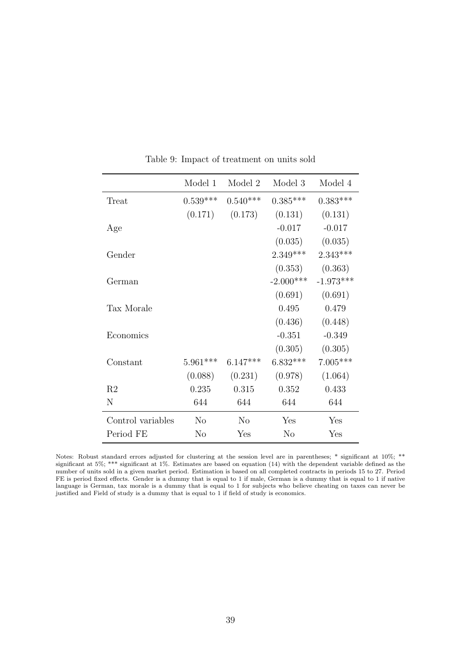|                   | Model 1    | Model 2        | Model 3        | Model 4     |
|-------------------|------------|----------------|----------------|-------------|
| Treat             | $0.539***$ | $0.540***$     | $0.385***$     | $0.383***$  |
|                   | (0.171)    | (0.173)        | (0.131)        | (0.131)     |
| Age               |            |                | $-0.017$       | $-0.017$    |
|                   |            |                | (0.035)        | (0.035)     |
| Gender            |            |                | $2.349***$     | $2.343***$  |
|                   |            |                | (0.353)        | (0.363)     |
| German            |            |                | $-2.000***$    | $-1.973***$ |
|                   |            |                | (0.691)        | (0.691)     |
| Tax Morale        |            |                | 0.495          | 0.479       |
|                   |            |                | (0.436)        | (0.448)     |
| Economics         |            |                | $-0.351$       | $-0.349$    |
|                   |            |                | (0.305)        | (0.305)     |
| Constant          | $5.961***$ | $6.147***$     | $6.832***$     | $7.005***$  |
|                   | (0.088)    | (0.231)        | (0.978)        | (1.064)     |
| R <sub>2</sub>    | 0.235      | 0.315          | 0.352          | 0.433       |
| N                 | 644        | 644            | 644            | 644         |
| Control variables | No         | N <sub>o</sub> | Yes            | Yes         |
| Period FE         | $\rm No$   | Yes            | N <sub>o</sub> | Yes         |

Table 9: Impact of treatment on units sold

Notes: Robust standard errors adjusted for clustering at the session level are in parentheses; \* significant at 10%; \*\* significant at 5%; \*\*\* significant at 1%. Estimates are based on equation [\(14\)](#page-17-4) with the dependent variable defined as the number of units sold in a given market period. Estimation is based on all completed contracts in periods 15 to 27. Period FE is period fixed effects. Gender is a dummy that is equal to 1 if male, German is a dummy that is equal to 1 if native language is German, tax morale is a dummy that is equal to 1 for subjects who believe cheating on taxes can never be justified and Field of study is a dummy that is equal to 1 if field of study is economics.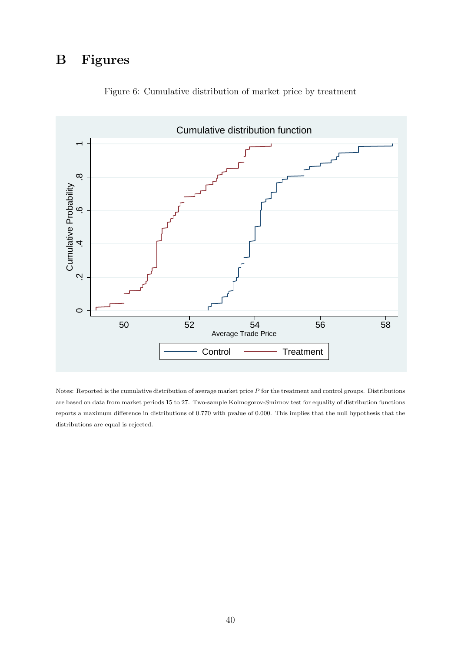# B Figures

<span id="page-42-0"></span>

Figure 6: Cumulative distribution of market price by treatment

Notes: Reported is the cumulative distribution of average market price  $\overline{P}$  for the treatment and control groups. Distributions are based on data from market periods 15 to 27. Two-sample Kolmogorov-Smirnov test for equality of distribution functions reports a maximum difference in distributions of 0.770 with pvalue of 0.000. This implies that the null hypothesis that the distributions are equal is rejected.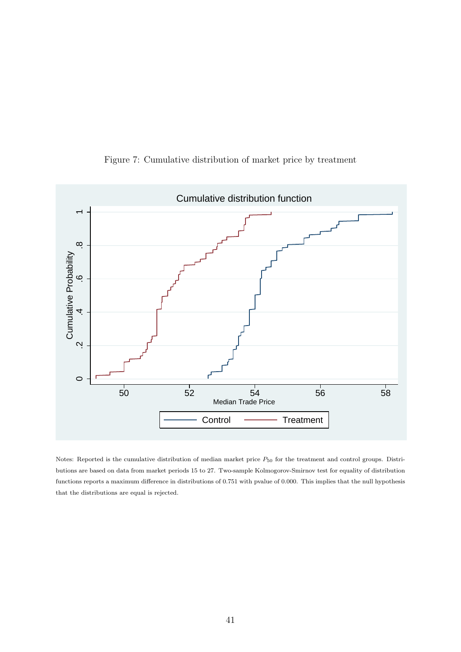<span id="page-43-0"></span>

Figure 7: Cumulative distribution of market price by treatment

Notes: Reported is the cumulative distribution of median market price  $P_{50}$  for the treatment and control groups. Distributions are based on data from market periods 15 to 27. Two-sample Kolmogorov-Smirnov test for equality of distribution functions reports a maximum difference in distributions of 0.751 with pvalue of 0.000. This implies that the null hypothesis that the distributions are equal is rejected.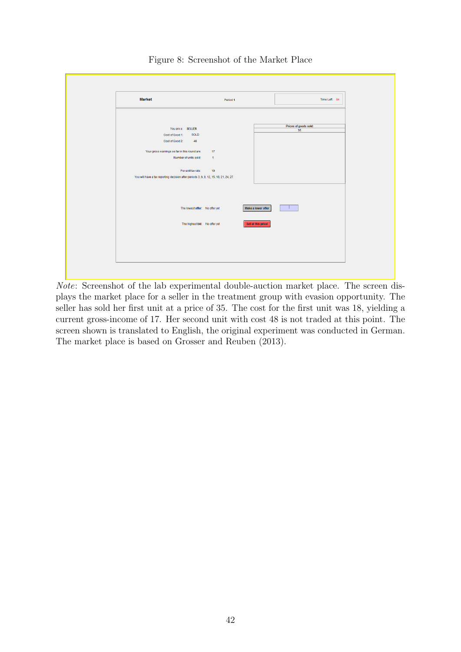<span id="page-44-0"></span>

| <b>Market</b>                                                                                                                                   | Period 1                       |                     | Time Left: 84               |
|-------------------------------------------------------------------------------------------------------------------------------------------------|--------------------------------|---------------------|-----------------------------|
|                                                                                                                                                 |                                |                     |                             |
| You are a: SELLER<br>SOLD<br>Cost of Good 1:<br>48<br>Cost of Good 2:<br>Your gross earnings so far in this round are:<br>Number of units sold: | 17<br>$\overline{1}$           |                     | Prices of goods sold:<br>35 |
| Per-unit tax rate:<br>You will have a tax reporting decision after periods 3, 6, 9, 12, 15, 18, 21, 24, 27.                                     | 10 <sub>10</sub>               |                     |                             |
|                                                                                                                                                 | The lowest offer: No offer yet | Make a lower offer  |                             |
|                                                                                                                                                 | The highest bid: No offer yet  | Sell at this price! |                             |
|                                                                                                                                                 |                                |                     |                             |
|                                                                                                                                                 |                                |                     |                             |

Figure 8: Screenshot of the Market Place

Note: Screenshot of the lab experimental double-auction market place. The screen displays the market place for a seller in the treatment group with evasion opportunity. The seller has sold her first unit at a price of 35. The cost for the first unit was 18, yielding a current gross-income of 17. Her second unit with cost 48 is not traded at this point. The screen shown is translated to English, the original experiment was conducted in German. The market place is based on [Grosser and Reuben \(2013\).](#page-28-1)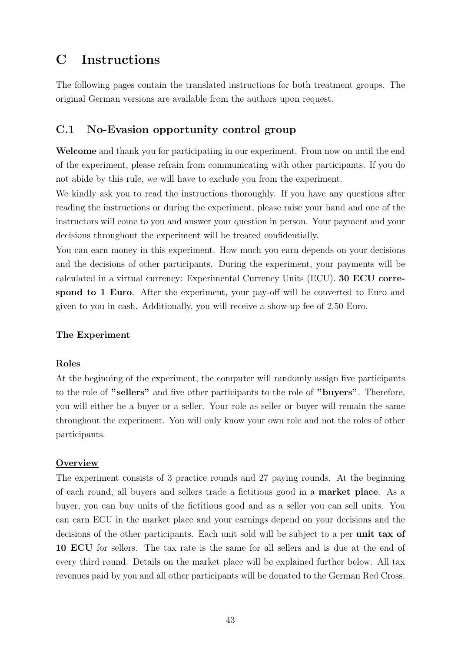# C Instructions

The following pages contain the translated instructions for both treatment groups. The original German versions are available from the authors upon request.

## C.1 No-Evasion opportunity control group

Welcome and thank you for participating in our experiment. From now on until the end of the experiment, please refrain from communicating with other participants. If you do not abide by this rule, we will have to exclude you from the experiment.

We kindly ask you to read the instructions thoroughly. If you have any questions after reading the instructions or during the experiment, please raise your hand and one of the instructors will come to you and answer your question in person. Your payment and your decisions throughout the experiment will be treated confidentially.

You can earn money in this experiment. How much you earn depends on your decisions and the decisions of other participants. During the experiment, your payments will be calculated in a virtual currency: Experimental Currency Units (ECU). 30 ECU correspond to 1 Euro. After the experiment, your pay-off will be converted to Euro and given to you in cash. Additionally, you will receive a show-up fee of 2.50 Euro.

## The Experiment

## Roles

At the beginning of the experiment, the computer will randomly assign five participants to the role of "sellers" and five other participants to the role of "buyers". Therefore, you will either be a buyer or a seller. Your role as seller or buyer will remain the same throughout the experiment. You will only know your own role and not the roles of other participants.

## **Overview**

The experiment consists of 3 practice rounds and 27 paying rounds. At the beginning of each round, all buyers and sellers trade a fictitious good in a market place. As a buyer, you can buy units of the fictitious good and as a seller you can sell units. You can earn ECU in the market place and your earnings depend on your decisions and the decisions of the other participants. Each unit sold will be subject to a per unit tax of 10 ECU for sellers. The tax rate is the same for all sellers and is due at the end of every third round. Details on the market place will be explained further below. All tax revenues paid by you and all other participants will be donated to the German Red Cross.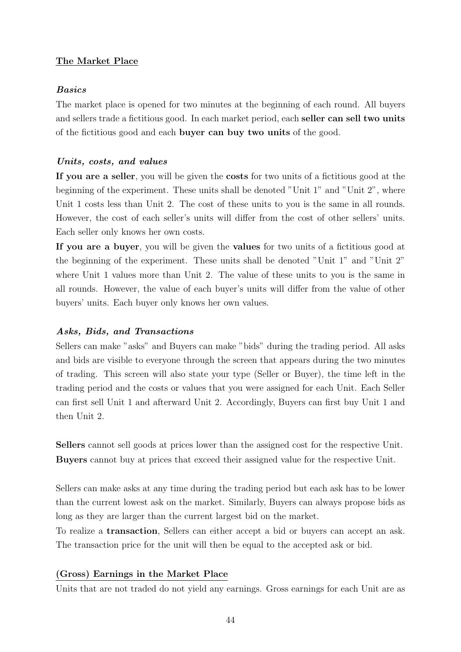## The Market Place

## Basics

The market place is opened for two minutes at the beginning of each round. All buyers and sellers trade a fictitious good. In each market period, each seller can sell two units of the fictitious good and each buyer can buy two units of the good.

## Units, costs, and values

If you are a seller, you will be given the costs for two units of a fictitious good at the beginning of the experiment. These units shall be denoted "Unit 1" and "Unit 2", where Unit 1 costs less than Unit 2. The cost of these units to you is the same in all rounds. However, the cost of each seller's units will differ from the cost of other sellers' units. Each seller only knows her own costs.

If you are a buyer, you will be given the values for two units of a fictitious good at the beginning of the experiment. These units shall be denoted "Unit 1" and "Unit 2" where Unit 1 values more than Unit 2. The value of these units to you is the same in all rounds. However, the value of each buyer's units will differ from the value of other buyers' units. Each buyer only knows her own values.

## Asks, Bids, and Transactions

Sellers can make "asks" and Buyers can make "bids" during the trading period. All asks and bids are visible to everyone through the screen that appears during the two minutes of trading. This screen will also state your type (Seller or Buyer), the time left in the trading period and the costs or values that you were assigned for each Unit. Each Seller can first sell Unit 1 and afterward Unit 2. Accordingly, Buyers can first buy Unit 1 and then Unit 2.

Sellers cannot sell goods at prices lower than the assigned cost for the respective Unit. Buyers cannot buy at prices that exceed their assigned value for the respective Unit.

Sellers can make asks at any time during the trading period but each ask has to be lower than the current lowest ask on the market. Similarly, Buyers can always propose bids as long as they are larger than the current largest bid on the market.

To realize a transaction, Sellers can either accept a bid or buyers can accept an ask. The transaction price for the unit will then be equal to the accepted ask or bid.

## (Gross) Earnings in the Market Place

Units that are not traded do not yield any earnings. Gross earnings for each Unit are as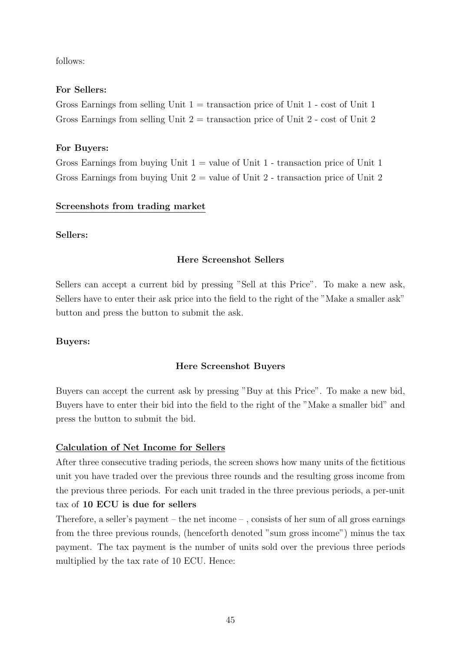follows:

## For Sellers:

Gross Earnings from selling Unit  $1 =$  transaction price of Unit  $1 - \cos t$  of Unit 1 Gross Earnings from selling Unit  $2 =$  transaction price of Unit 2 - cost of Unit 2

## For Buyers:

Gross Earnings from buying Unit  $1 =$  value of Unit 1 - transaction price of Unit 1 Gross Earnings from buying Unit  $2 =$  value of Unit  $2 -$  transaction price of Unit  $2$ 

#### Screenshots from trading market

#### Sellers:

#### Here Screenshot Sellers

Sellers can accept a current bid by pressing "Sell at this Price". To make a new ask, Sellers have to enter their ask price into the field to the right of the "Make a smaller ask" button and press the button to submit the ask.

#### Buyers:

## Here Screenshot Buyers

Buyers can accept the current ask by pressing "Buy at this Price". To make a new bid, Buyers have to enter their bid into the field to the right of the "Make a smaller bid" and press the button to submit the bid.

## Calculation of Net Income for Sellers

After three consecutive trading periods, the screen shows how many units of the fictitious unit you have traded over the previous three rounds and the resulting gross income from the previous three periods. For each unit traded in the three previous periods, a per-unit tax of 10 ECU is due for sellers

Therefore, a seller's payment – the net income – , consists of her sum of all gross earnings from the three previous rounds, (henceforth denoted "sum gross income") minus the tax payment. The tax payment is the number of units sold over the previous three periods multiplied by the tax rate of 10 ECU. Hence: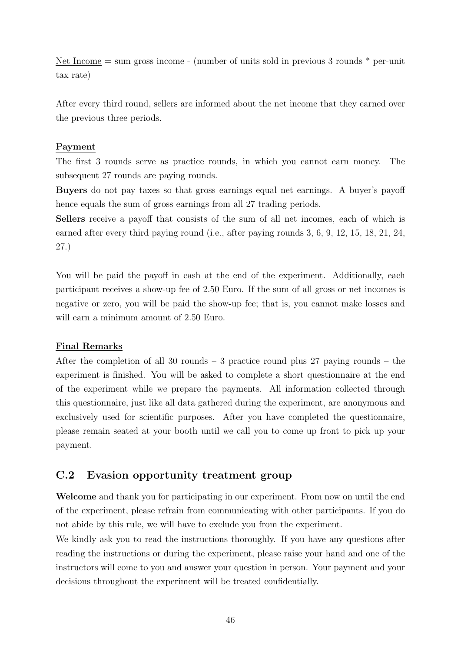Net Income = sum gross income - (number of units sold in previous 3 rounds \* per-unit tax rate)

After every third round, sellers are informed about the net income that they earned over the previous three periods.

## Payment

The first 3 rounds serve as practice rounds, in which you cannot earn money. The subsequent 27 rounds are paying rounds.

Buyers do not pay taxes so that gross earnings equal net earnings. A buyer's payoff hence equals the sum of gross earnings from all 27 trading periods.

Sellers receive a payoff that consists of the sum of all net incomes, each of which is earned after every third paying round (i.e., after paying rounds 3, 6, 9, 12, 15, 18, 21, 24, 27.)

You will be paid the payoff in cash at the end of the experiment. Additionally, each participant receives a show-up fee of 2.50 Euro. If the sum of all gross or net incomes is negative or zero, you will be paid the show-up fee; that is, you cannot make losses and will earn a minimum amount of 2.50 Euro.

## Final Remarks

After the completion of all 30 rounds  $-$  3 practice round plus 27 paying rounds  $-$  the experiment is finished. You will be asked to complete a short questionnaire at the end of the experiment while we prepare the payments. All information collected through this questionnaire, just like all data gathered during the experiment, are anonymous and exclusively used for scientific purposes. After you have completed the questionnaire, please remain seated at your booth until we call you to come up front to pick up your payment.

## C.2 Evasion opportunity treatment group

Welcome and thank you for participating in our experiment. From now on until the end of the experiment, please refrain from communicating with other participants. If you do not abide by this rule, we will have to exclude you from the experiment.

We kindly ask you to read the instructions thoroughly. If you have any questions after reading the instructions or during the experiment, please raise your hand and one of the instructors will come to you and answer your question in person. Your payment and your decisions throughout the experiment will be treated confidentially.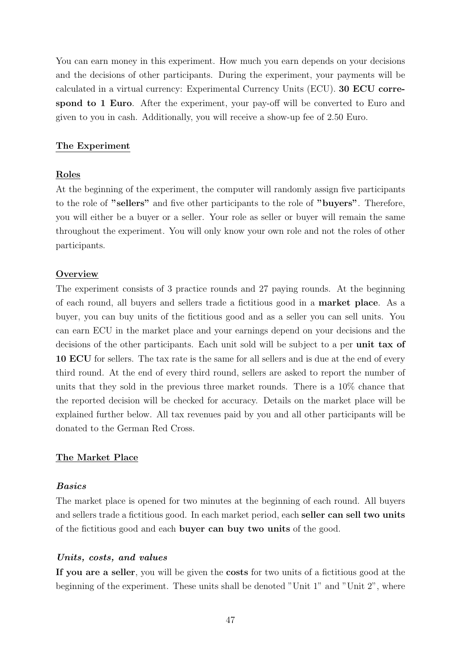You can earn money in this experiment. How much you earn depends on your decisions and the decisions of other participants. During the experiment, your payments will be calculated in a virtual currency: Experimental Currency Units (ECU). 30 ECU correspond to 1 Euro. After the experiment, your pay-off will be converted to Euro and given to you in cash. Additionally, you will receive a show-up fee of 2.50 Euro.

#### The Experiment

#### Roles

At the beginning of the experiment, the computer will randomly assign five participants to the role of "sellers" and five other participants to the role of "buyers". Therefore, you will either be a buyer or a seller. Your role as seller or buyer will remain the same throughout the experiment. You will only know your own role and not the roles of other participants.

#### **Overview**

The experiment consists of 3 practice rounds and 27 paying rounds. At the beginning of each round, all buyers and sellers trade a fictitious good in a market place. As a buyer, you can buy units of the fictitious good and as a seller you can sell units. You can earn ECU in the market place and your earnings depend on your decisions and the decisions of the other participants. Each unit sold will be subject to a per unit tax of 10 ECU for sellers. The tax rate is the same for all sellers and is due at the end of every third round. At the end of every third round, sellers are asked to report the number of units that they sold in the previous three market rounds. There is a 10% chance that the reported decision will be checked for accuracy. Details on the market place will be explained further below. All tax revenues paid by you and all other participants will be donated to the German Red Cross.

#### The Market Place

#### Basics

The market place is opened for two minutes at the beginning of each round. All buyers and sellers trade a fictitious good. In each market period, each seller can sell two units of the fictitious good and each buyer can buy two units of the good.

#### Units, costs, and values

If you are a seller, you will be given the costs for two units of a fictitious good at the beginning of the experiment. These units shall be denoted "Unit 1" and "Unit 2", where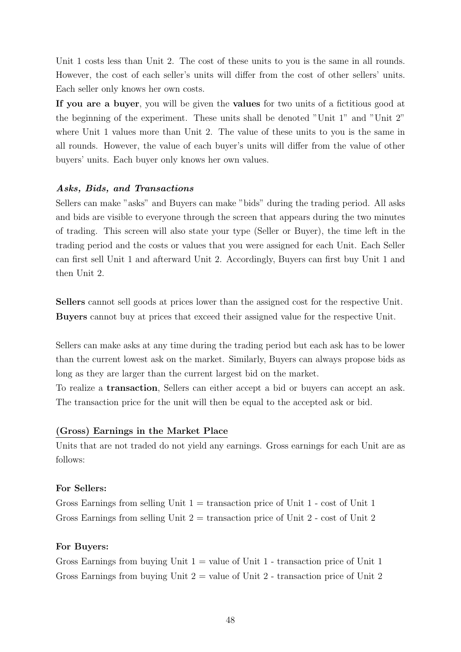Unit 1 costs less than Unit 2. The cost of these units to you is the same in all rounds. However, the cost of each seller's units will differ from the cost of other sellers' units. Each seller only knows her own costs.

If you are a buyer, you will be given the values for two units of a fictitious good at the beginning of the experiment. These units shall be denoted "Unit 1" and "Unit 2" where Unit 1 values more than Unit 2. The value of these units to you is the same in all rounds. However, the value of each buyer's units will differ from the value of other buyers' units. Each buyer only knows her own values.

#### Asks, Bids, and Transactions

Sellers can make "asks" and Buyers can make "bids" during the trading period. All asks and bids are visible to everyone through the screen that appears during the two minutes of trading. This screen will also state your type (Seller or Buyer), the time left in the trading period and the costs or values that you were assigned for each Unit. Each Seller can first sell Unit 1 and afterward Unit 2. Accordingly, Buyers can first buy Unit 1 and then Unit 2.

Sellers cannot sell goods at prices lower than the assigned cost for the respective Unit. Buyers cannot buy at prices that exceed their assigned value for the respective Unit.

Sellers can make asks at any time during the trading period but each ask has to be lower than the current lowest ask on the market. Similarly, Buyers can always propose bids as long as they are larger than the current largest bid on the market.

To realize a transaction, Sellers can either accept a bid or buyers can accept an ask. The transaction price for the unit will then be equal to the accepted ask or bid.

#### (Gross) Earnings in the Market Place

Units that are not traded do not yield any earnings. Gross earnings for each Unit are as follows:

#### For Sellers:

Gross Earnings from selling Unit  $1 =$  transaction price of Unit  $1 - \cos t$  of Unit 1 Gross Earnings from selling Unit  $2 =$  transaction price of Unit 2 - cost of Unit 2

#### For Buyers:

Gross Earnings from buying Unit  $1 =$  value of Unit 1 - transaction price of Unit 1 Gross Earnings from buying Unit  $2 =$  value of Unit  $2 -$  transaction price of Unit  $2$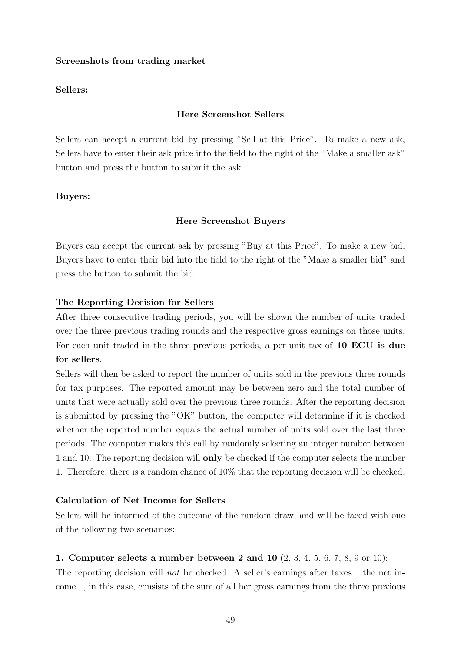#### Screenshots from trading market

#### Sellers:

#### Here Screenshot Sellers

Sellers can accept a current bid by pressing "Sell at this Price". To make a new ask, Sellers have to enter their ask price into the field to the right of the "Make a smaller ask" button and press the button to submit the ask.

#### Buyers:

#### Here Screenshot Buyers

Buyers can accept the current ask by pressing "Buy at this Price". To make a new bid, Buyers have to enter their bid into the field to the right of the "Make a smaller bid" and press the button to submit the bid.

#### The Reporting Decision for Sellers

After three consecutive trading periods, you will be shown the number of units traded over the three previous trading rounds and the respective gross earnings on those units. For each unit traded in the three previous periods, a per-unit tax of 10 ECU is due for sellers.

Sellers will then be asked to report the number of units sold in the previous three rounds for tax purposes. The reported amount may be between zero and the total number of units that were actually sold over the previous three rounds. After the reporting decision is submitted by pressing the "OK" button, the computer will determine if it is checked whether the reported number equals the actual number of units sold over the last three periods. The computer makes this call by randomly selecting an integer number between 1 and 10. The reporting decision will **only** be checked if the computer selects the number 1. Therefore, there is a random chance of 10% that the reporting decision will be checked.

#### Calculation of Net Income for Sellers

Sellers will be informed of the outcome of the random draw, and will be faced with one of the following two scenarios:

#### 1. Computer selects a number between 2 and 10 (2, 3, 4, 5, 6, 7, 8, 9 or 10):

The reporting decision will not be checked. A seller's earnings after taxes – the net income –, in this case, consists of the sum of all her gross earnings from the three previous